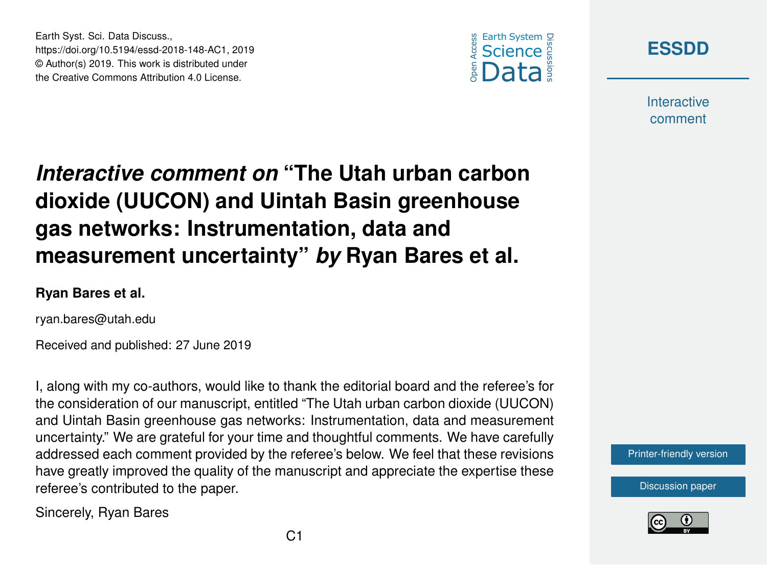





**Interactive** comment

# *Interactive comment on* **"The Utah urban carbon dioxide (UUCON) and Uintah Basin greenhouse gas networks: Instrumentation, data and measurement uncertainty"** *by* **Ryan Bares et al.**

#### **Ryan Bares et al.**

ryan.bares@utah.edu

Received and published: 27 June 2019

I, along with my co-authors, would like to thank the editorial board and the referee's for the consideration of our manuscript, entitled "The Utah urban carbon dioxide (UUCON) and Uintah Basin greenhouse gas networks: Instrumentation, data and measurement uncertainty." We are grateful for your time and thoughtful comments. We have carefully addressed each comment provided by the referee's below. We feel that these revisions have greatly improved the quality of the manuscript and appreciate the expertise these referee's contributed to the paper.

Sincerely, Ryan Bares

[Printer-friendly version](https://www.earth-syst-sci-data-discuss.net/essd-2018-148/essd-2018-148-AC1-print.pdf)

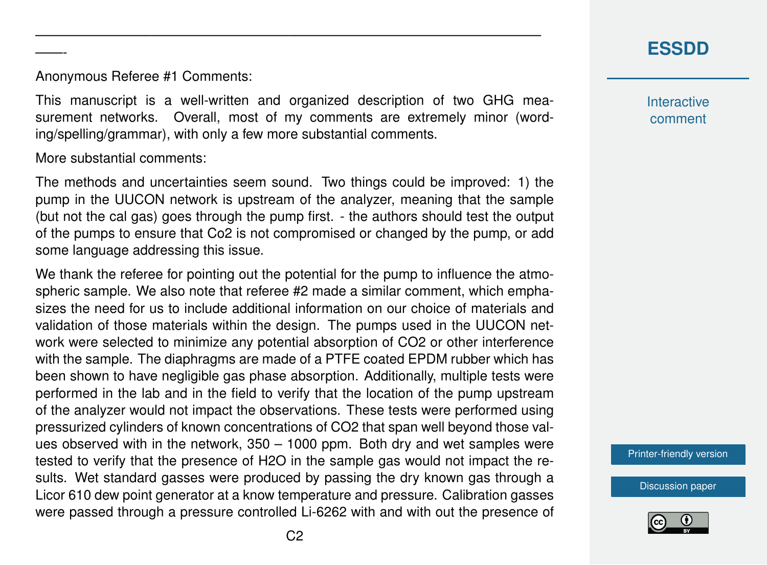### **[ESSDD](https://www.earth-syst-sci-data-discuss.net/)**

Anonymous Referee #1 Comments:

This manuscript is a well-written and organized description of two GHG measurement networks. Overall, most of my comments are extremely minor (wording/spelling/grammar), with only a few more substantial comments.

—————————————————————————————————————

More substantial comments:

——-

The methods and uncertainties seem sound. Two things could be improved: 1) the pump in the UUCON network is upstream of the analyzer, meaning that the sample (but not the cal gas) goes through the pump first. - the authors should test the output of the pumps to ensure that Co2 is not compromised or changed by the pump, or add some language addressing this issue.

We thank the referee for pointing out the potential for the pump to influence the atmospheric sample. We also note that referee #2 made a similar comment, which emphasizes the need for us to include additional information on our choice of materials and validation of those materials within the design. The pumps used in the UUCON network were selected to minimize any potential absorption of CO2 or other interference with the sample. The diaphragms are made of a PTFE coated EPDM rubber which has been shown to have negligible gas phase absorption. Additionally, multiple tests were performed in the lab and in the field to verify that the location of the pump upstream of the analyzer would not impact the observations. These tests were performed using pressurized cylinders of known concentrations of CO2 that span well beyond those values observed with in the network, 350 – 1000 ppm. Both dry and wet samples were tested to verify that the presence of H2O in the sample gas would not impact the results. Wet standard gasses were produced by passing the dry known gas through a Licor 610 dew point generator at a know temperature and pressure. Calibration gasses were passed through a pressure controlled Li-6262 with and with out the presence of **Interactive** comment

[Printer-friendly version](https://www.earth-syst-sci-data-discuss.net/essd-2018-148/essd-2018-148-AC1-print.pdf)

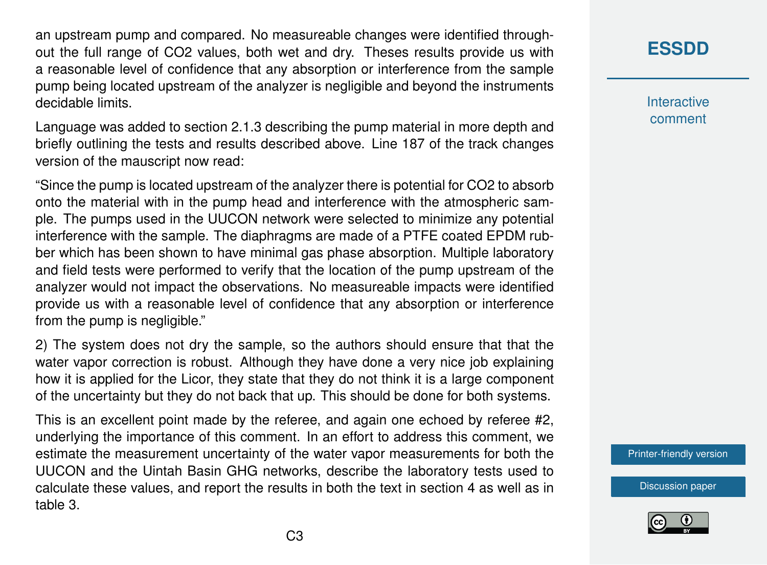an upstream pump and compared. No measureable changes were identified throughout the full range of CO2 values, both wet and dry. Theses results provide us with a reasonable level of confidence that any absorption or interference from the sample pump being located upstream of the analyzer is negligible and beyond the instruments decidable limits.

Language was added to section 2.1.3 describing the pump material in more depth and briefly outlining the tests and results described above. Line 187 of the track changes version of the mauscript now read:

"Since the pump is located upstream of the analyzer there is potential for CO2 to absorb onto the material with in the pump head and interference with the atmospheric sample. The pumps used in the UUCON network were selected to minimize any potential interference with the sample. The diaphragms are made of a PTFE coated EPDM rubber which has been shown to have minimal gas phase absorption. Multiple laboratory and field tests were performed to verify that the location of the pump upstream of the analyzer would not impact the observations. No measureable impacts were identified provide us with a reasonable level of confidence that any absorption or interference from the pump is negligible."

2) The system does not dry the sample, so the authors should ensure that that the water vapor correction is robust. Although they have done a very nice job explaining how it is applied for the Licor, they state that they do not think it is a large component of the uncertainty but they do not back that up. This should be done for both systems.

This is an excellent point made by the referee, and again one echoed by referee #2, underlying the importance of this comment. In an effort to address this comment, we estimate the measurement uncertainty of the water vapor measurements for both the UUCON and the Uintah Basin GHG networks, describe the laboratory tests used to calculate these values, and report the results in both the text in section 4 as well as in table 3.

### **[ESSDD](https://www.earth-syst-sci-data-discuss.net/)**

**Interactive** comment

[Printer-friendly version](https://www.earth-syst-sci-data-discuss.net/essd-2018-148/essd-2018-148-AC1-print.pdf)

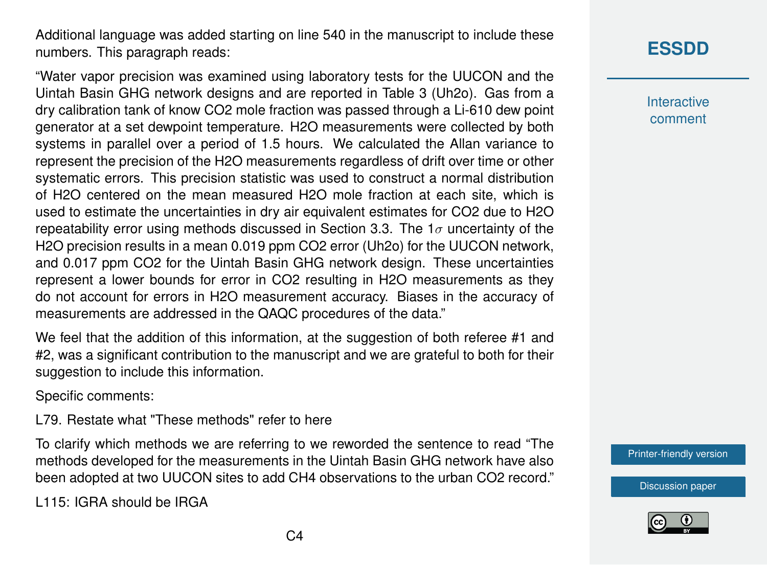Additional language was added starting on line 540 in the manuscript to include these numbers. This paragraph reads:

"Water vapor precision was examined using laboratory tests for the UUCON and the Uintah Basin GHG network designs and are reported in Table 3 (Uh2o). Gas from a dry calibration tank of know CO2 mole fraction was passed through a Li-610 dew point generator at a set dewpoint temperature. H2O measurements were collected by both systems in parallel over a period of 1.5 hours. We calculated the Allan variance to represent the precision of the H2O measurements regardless of drift over time or other systematic errors. This precision statistic was used to construct a normal distribution of H2O centered on the mean measured H2O mole fraction at each site, which is used to estimate the uncertainties in dry air equivalent estimates for CO2 due to H2O repeatability error using methods discussed in Section 3.3. The  $1\sigma$  uncertainty of the H2O precision results in a mean 0.019 ppm CO2 error (Uh2o) for the UUCON network, and 0.017 ppm CO2 for the Uintah Basin GHG network design. These uncertainties represent a lower bounds for error in CO2 resulting in H2O measurements as they do not account for errors in H2O measurement accuracy. Biases in the accuracy of measurements are addressed in the QAQC procedures of the data."

We feel that the addition of this information, at the suggestion of both referee #1 and #2, was a significant contribution to the manuscript and we are grateful to both for their suggestion to include this information.

Specific comments:

L79. Restate what "These methods" refer to here

To clarify which methods we are referring to we reworded the sentence to read "The methods developed for the measurements in the Uintah Basin GHG network have also been adopted at two UUCON sites to add CH4 observations to the urban CO2 record."

L115: IGRA should be IRGA

# **[ESSDD](https://www.earth-syst-sci-data-discuss.net/)**

**Interactive** comment

[Printer-friendly version](https://www.earth-syst-sci-data-discuss.net/essd-2018-148/essd-2018-148-AC1-print.pdf)

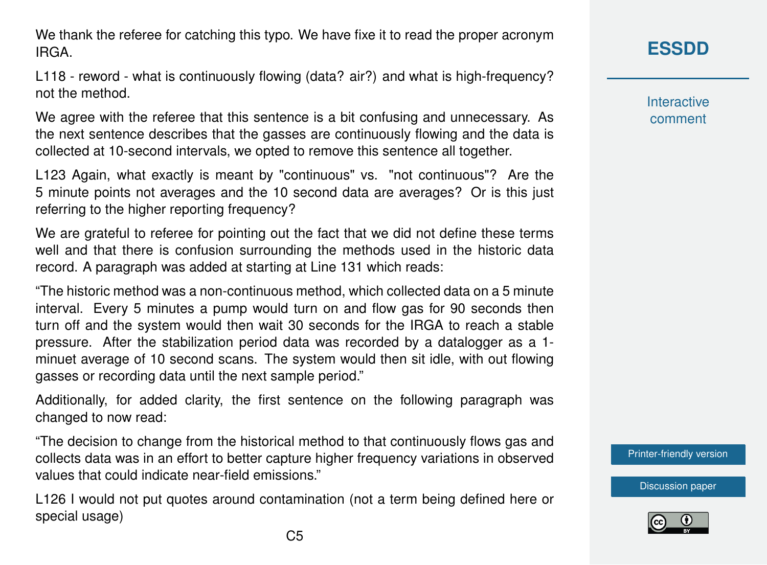We thank the referee for catching this typo. We have fixe it to read the proper acronym **IRGA** 

L118 - reword - what is continuously flowing (data? air?) and what is high-frequency? not the method.

We agree with the referee that this sentence is a bit confusing and unnecessary. As the next sentence describes that the gasses are continuously flowing and the data is collected at 10-second intervals, we opted to remove this sentence all together.

L123 Again, what exactly is meant by "continuous" vs. "not continuous"? Are the 5 minute points not averages and the 10 second data are averages? Or is this just referring to the higher reporting frequency?

We are grateful to referee for pointing out the fact that we did not define these terms well and that there is confusion surrounding the methods used in the historic data record. A paragraph was added at starting at Line 131 which reads:

"The historic method was a non-continuous method, which collected data on a 5 minute interval. Every 5 minutes a pump would turn on and flow gas for 90 seconds then turn off and the system would then wait 30 seconds for the IRGA to reach a stable pressure. After the stabilization period data was recorded by a datalogger as a 1 minuet average of 10 second scans. The system would then sit idle, with out flowing gasses or recording data until the next sample period."

Additionally, for added clarity, the first sentence on the following paragraph was changed to now read:

"The decision to change from the historical method to that continuously flows gas and collects data was in an effort to better capture higher frequency variations in observed values that could indicate near-field emissions."

L126 I would not put quotes around contamination (not a term being defined here or special usage)

**[ESSDD](https://www.earth-syst-sci-data-discuss.net/)**

**Interactive** comment

[Printer-friendly version](https://www.earth-syst-sci-data-discuss.net/essd-2018-148/essd-2018-148-AC1-print.pdf)

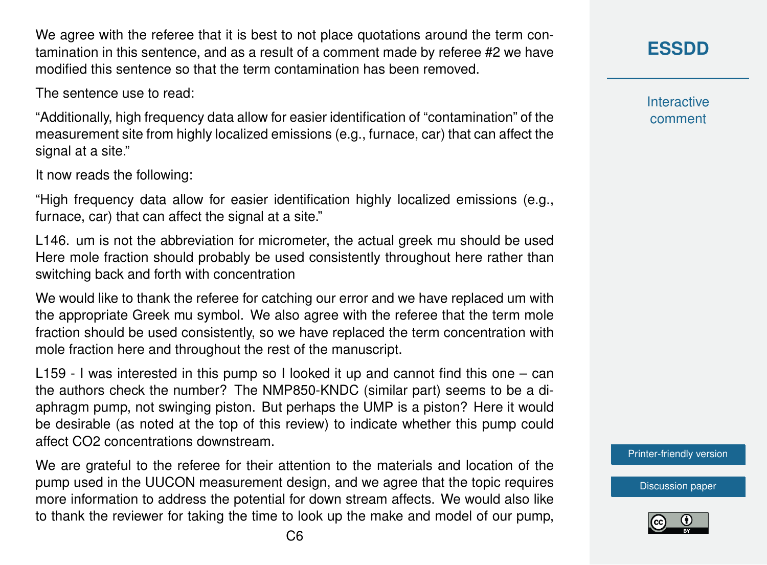We agree with the referee that it is best to not place quotations around the term contamination in this sentence, and as a result of a comment made by referee #2 we have modified this sentence so that the term contamination has been removed.

The sentence use to read:

"Additionally, high frequency data allow for easier identification of "contamination" of the measurement site from highly localized emissions (e.g., furnace, car) that can affect the signal at a site."

It now reads the following:

"High frequency data allow for easier identification highly localized emissions (e.g., furnace, car) that can affect the signal at a site."

L146. um is not the abbreviation for micrometer, the actual greek mu should be used Here mole fraction should probably be used consistently throughout here rather than switching back and forth with concentration

We would like to thank the referee for catching our error and we have replaced um with the appropriate Greek mu symbol. We also agree with the referee that the term mole fraction should be used consistently, so we have replaced the term concentration with mole fraction here and throughout the rest of the manuscript.

L159 - I was interested in this pump so I looked it up and cannot find this one – can the authors check the number? The NMP850-KNDC (similar part) seems to be a diaphragm pump, not swinging piston. But perhaps the UMP is a piston? Here it would be desirable (as noted at the top of this review) to indicate whether this pump could affect CO2 concentrations downstream.

We are grateful to the referee for their attention to the materials and location of the pump used in the UUCON measurement design, and we agree that the topic requires more information to address the potential for down stream affects. We would also like to thank the reviewer for taking the time to look up the make and model of our pump, **[ESSDD](https://www.earth-syst-sci-data-discuss.net/)**

**Interactive** comment

[Printer-friendly version](https://www.earth-syst-sci-data-discuss.net/essd-2018-148/essd-2018-148-AC1-print.pdf)

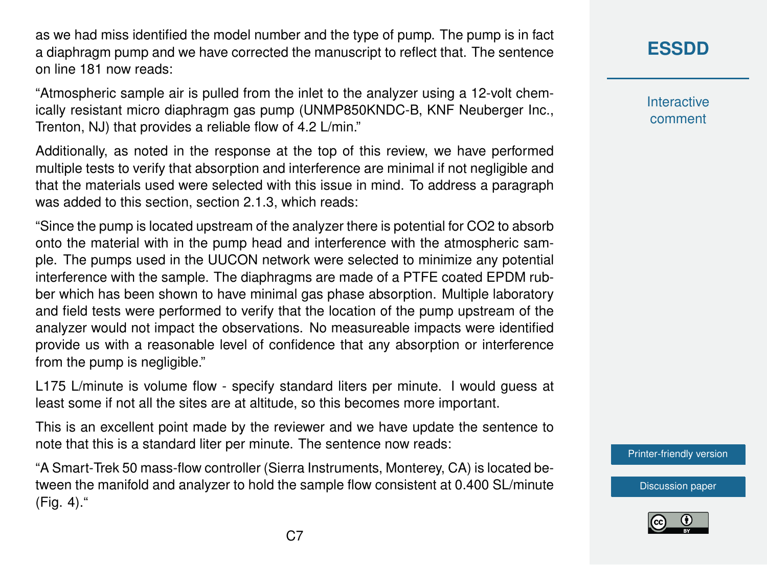as we had miss identified the model number and the type of pump. The pump is in fact a diaphragm pump and we have corrected the manuscript to reflect that. The sentence on line 181 now reads:

"Atmospheric sample air is pulled from the inlet to the analyzer using a 12-volt chemically resistant micro diaphragm gas pump (UNMP850KNDC-B, KNF Neuberger Inc., Trenton, NJ) that provides a reliable flow of 4.2 L/min."

Additionally, as noted in the response at the top of this review, we have performed multiple tests to verify that absorption and interference are minimal if not negligible and that the materials used were selected with this issue in mind. To address a paragraph was added to this section, section 2.1.3, which reads:

"Since the pump is located upstream of the analyzer there is potential for CO2 to absorb onto the material with in the pump head and interference with the atmospheric sample. The pumps used in the UUCON network were selected to minimize any potential interference with the sample. The diaphragms are made of a PTFE coated EPDM rubber which has been shown to have minimal gas phase absorption. Multiple laboratory and field tests were performed to verify that the location of the pump upstream of the analyzer would not impact the observations. No measureable impacts were identified provide us with a reasonable level of confidence that any absorption or interference from the pump is negligible."

L175 L/minute is volume flow - specify standard liters per minute. I would guess at least some if not all the sites are at altitude, so this becomes more important.

This is an excellent point made by the reviewer and we have update the sentence to note that this is a standard liter per minute. The sentence now reads:

"A Smart-Trek 50 mass-flow controller (Sierra Instruments, Monterey, CA) is located between the manifold and analyzer to hold the sample flow consistent at 0.400 SL/minute (Fig. 4)."

## **[ESSDD](https://www.earth-syst-sci-data-discuss.net/)**

**Interactive** comment

[Printer-friendly version](https://www.earth-syst-sci-data-discuss.net/essd-2018-148/essd-2018-148-AC1-print.pdf)

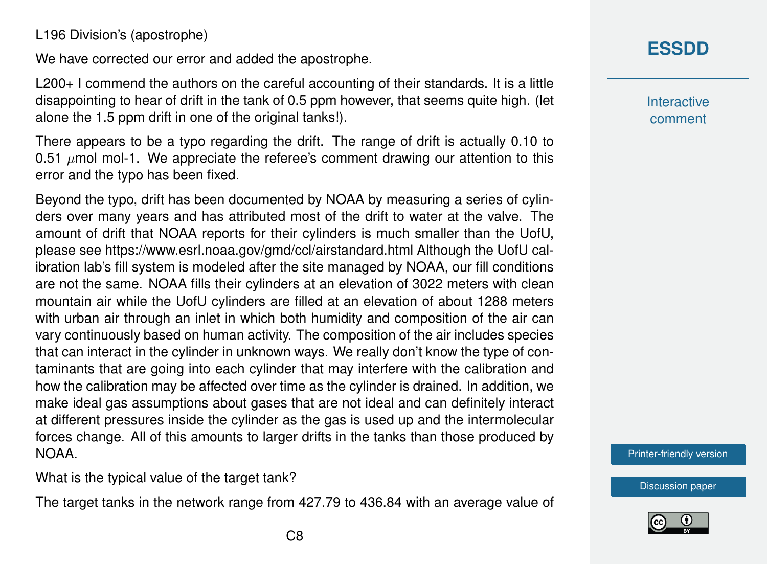L196 Division's (apostrophe)

We have corrected our error and added the apostrophe.

L200+ I commend the authors on the careful accounting of their standards. It is a little disappointing to hear of drift in the tank of 0.5 ppm however, that seems quite high. (let alone the 1.5 ppm drift in one of the original tanks!).

There appears to be a typo regarding the drift. The range of drift is actually 0.10 to 0.51  $\mu$ mol mol-1. We appreciate the referee's comment drawing our attention to this error and the typo has been fixed.

Beyond the typo, drift has been documented by NOAA by measuring a series of cylinders over many years and has attributed most of the drift to water at the valve. The amount of drift that NOAA reports for their cylinders is much smaller than the UofU, please see https://www.esrl.noaa.gov/gmd/ccl/airstandard.html Although the UofU calibration lab's fill system is modeled after the site managed by NOAA, our fill conditions are not the same. NOAA fills their cylinders at an elevation of 3022 meters with clean mountain air while the UofU cylinders are filled at an elevation of about 1288 meters with urban air through an inlet in which both humidity and composition of the air can vary continuously based on human activity. The composition of the air includes species that can interact in the cylinder in unknown ways. We really don't know the type of contaminants that are going into each cylinder that may interfere with the calibration and how the calibration may be affected over time as the cylinder is drained. In addition, we make ideal gas assumptions about gases that are not ideal and can definitely interact at different pressures inside the cylinder as the gas is used up and the intermolecular forces change. All of this amounts to larger drifts in the tanks than those produced by NOAA.

What is the typical value of the target tank?

The target tanks in the network range from 427.79 to 436.84 with an average value of

# **[ESSDD](https://www.earth-syst-sci-data-discuss.net/)**

**Interactive** comment

[Printer-friendly version](https://www.earth-syst-sci-data-discuss.net/essd-2018-148/essd-2018-148-AC1-print.pdf)

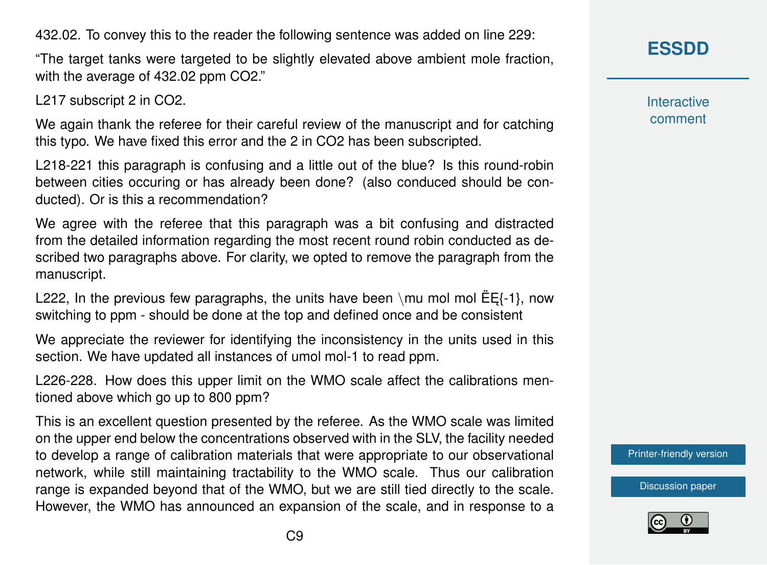432.02. To convey this to the reader the following sentence was added on line 229:

"The target tanks were targeted to be slightly elevated above ambient mole fraction, with the average of 432.02 ppm CO2."

L217 subscript 2 in CO2.

We again thank the referee for their careful review of the manuscript and for catching this typo. We have fixed this error and the 2 in CO2 has been subscripted.

L218-221 this paragraph is confusing and a little out of the blue? Is this round-robin between cities occuring or has already been done? (also conduced should be conducted). Or is this a recommendation?

We agree with the referee that this paragraph was a bit confusing and distracted from the detailed information regarding the most recent round robin conducted as described two paragraphs above. For clarity, we opted to remove the paragraph from the manuscript.

L222, In the previous few paragraphs, the units have been \mu mol mol  $E_{5}$ {-1}, now switching to ppm - should be done at the top and defined once and be consistent

We appreciate the reviewer for identifying the inconsistency in the units used in this section. We have updated all instances of umol mol-1 to read ppm.

L226-228. How does this upper limit on the WMO scale affect the calibrations mentioned above which go up to 800 ppm?

This is an excellent question presented by the referee. As the WMO scale was limited on the upper end below the concentrations observed with in the SLV, the facility needed to develop a range of calibration materials that were appropriate to our observational network, while still maintaining tractability to the WMO scale. Thus our calibration range is expanded beyond that of the WMO, but we are still tied directly to the scale. However, the WMO has announced an expansion of the scale, and in response to a **[ESSDD](https://www.earth-syst-sci-data-discuss.net/)**

**Interactive** comment

[Printer-friendly version](https://www.earth-syst-sci-data-discuss.net/essd-2018-148/essd-2018-148-AC1-print.pdf)

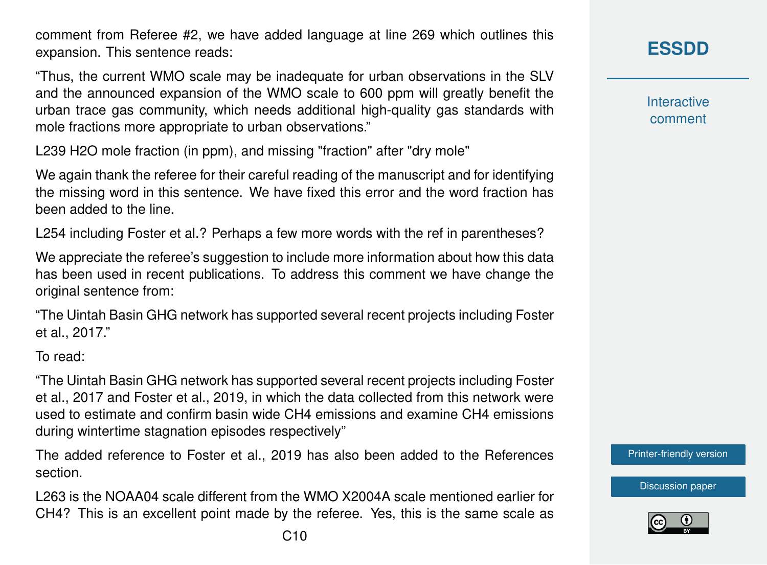comment from Referee #2, we have added language at line 269 which outlines this expansion. This sentence reads:

"Thus, the current WMO scale may be inadequate for urban observations in the SLV and the announced expansion of the WMO scale to 600 ppm will greatly benefit the urban trace gas community, which needs additional high-quality gas standards with mole fractions more appropriate to urban observations."

L239 H2O mole fraction (in ppm), and missing "fraction" after "dry mole"

We again thank the referee for their careful reading of the manuscript and for identifying the missing word in this sentence. We have fixed this error and the word fraction has been added to the line.

L254 including Foster et al.? Perhaps a few more words with the ref in parentheses?

We appreciate the referee's suggestion to include more information about how this data has been used in recent publications. To address this comment we have change the original sentence from:

"The Uintah Basin GHG network has supported several recent projects including Foster et al., 2017."

To read:

"The Uintah Basin GHG network has supported several recent projects including Foster et al., 2017 and Foster et al., 2019, in which the data collected from this network were used to estimate and confirm basin wide CH4 emissions and examine CH4 emissions during wintertime stagnation episodes respectively"

The added reference to Foster et al., 2019 has also been added to the References section.

L263 is the NOAA04 scale different from the WMO X2004A scale mentioned earlier for CH4? This is an excellent point made by the referee. Yes, this is the same scale as

**[ESSDD](https://www.earth-syst-sci-data-discuss.net/)**

**Interactive** comment

[Printer-friendly version](https://www.earth-syst-sci-data-discuss.net/essd-2018-148/essd-2018-148-AC1-print.pdf)

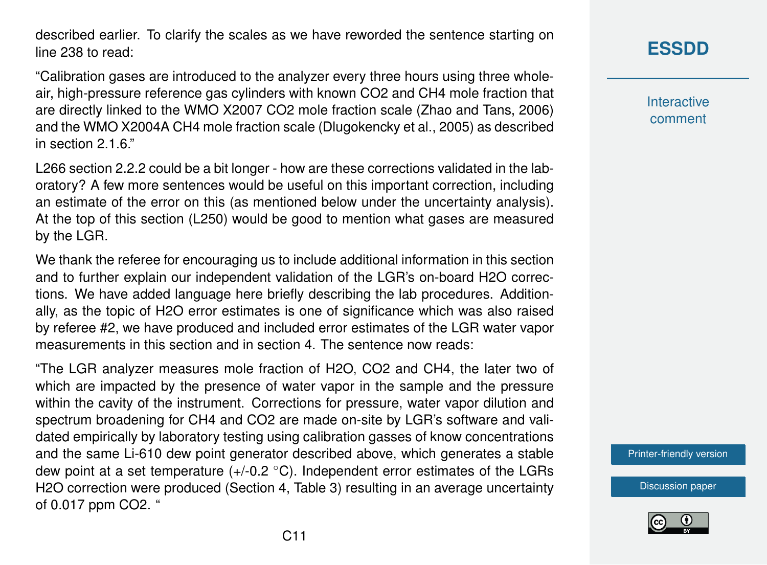described earlier. To clarify the scales as we have reworded the sentence starting on line 238 to read:

"Calibration gases are introduced to the analyzer every three hours using three wholeair, high-pressure reference gas cylinders with known CO2 and CH4 mole fraction that are directly linked to the WMO X2007 CO2 mole fraction scale (Zhao and Tans, 2006) and the WMO X2004A CH4 mole fraction scale (Dlugokencky et al., 2005) as described in section 2.1.6"

L266 section 2.2.2 could be a bit longer - how are these corrections validated in the laboratory? A few more sentences would be useful on this important correction, including an estimate of the error on this (as mentioned below under the uncertainty analysis). At the top of this section (L250) would be good to mention what gases are measured by the LGR.

We thank the referee for encouraging us to include additional information in this section and to further explain our independent validation of the LGR's on-board H2O corrections. We have added language here briefly describing the lab procedures. Additionally, as the topic of H2O error estimates is one of significance which was also raised by referee #2, we have produced and included error estimates of the LGR water vapor measurements in this section and in section 4. The sentence now reads:

"The LGR analyzer measures mole fraction of H2O, CO2 and CH4, the later two of which are impacted by the presence of water vapor in the sample and the pressure within the cavity of the instrument. Corrections for pressure, water vapor dilution and spectrum broadening for CH4 and CO2 are made on-site by LGR's software and validated empirically by laboratory testing using calibration gasses of know concentrations and the same Li-610 dew point generator described above, which generates a stable dew point at a set temperature  $(+/-0.2 \degree C)$ . Independent error estimates of the LGRs H2O correction were produced (Section 4, Table 3) resulting in an average uncertainty of 0.017 ppm CO2. "

# **[ESSDD](https://www.earth-syst-sci-data-discuss.net/)**

**Interactive** comment

[Printer-friendly version](https://www.earth-syst-sci-data-discuss.net/essd-2018-148/essd-2018-148-AC1-print.pdf)

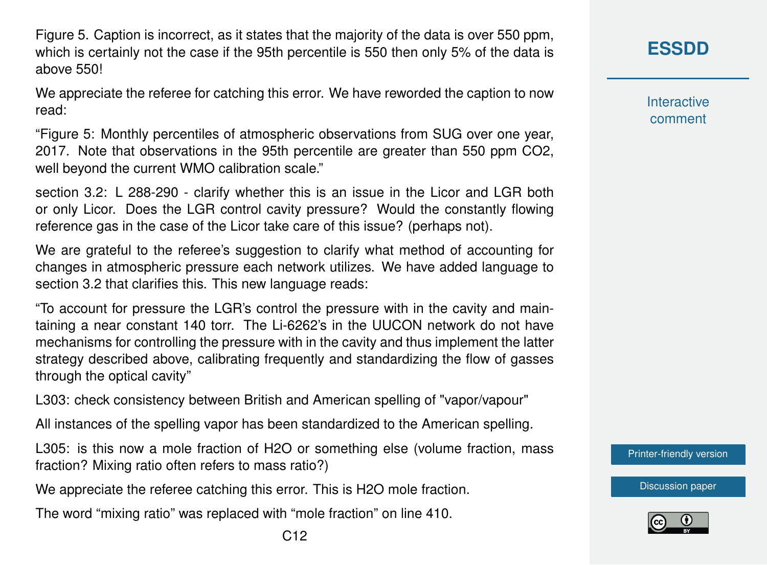Figure 5. Caption is incorrect, as it states that the majority of the data is over 550 ppm, which is certainly not the case if the 95th percentile is 550 then only 5% of the data is above 550!

We appreciate the referee for catching this error. We have reworded the caption to now read:

"Figure 5: Monthly percentiles of atmospheric observations from SUG over one year, 2017. Note that observations in the 95th percentile are greater than 550 ppm CO2, well beyond the current WMO calibration scale."

section 3.2: L 288-290 - clarify whether this is an issue in the Licor and LGR both or only Licor. Does the LGR control cavity pressure? Would the constantly flowing reference gas in the case of the Licor take care of this issue? (perhaps not).

We are grateful to the referee's suggestion to clarify what method of accounting for changes in atmospheric pressure each network utilizes. We have added language to section 3.2 that clarifies this. This new language reads:

"To account for pressure the LGR's control the pressure with in the cavity and maintaining a near constant 140 torr. The Li-6262's in the UUCON network do not have mechanisms for controlling the pressure with in the cavity and thus implement the latter strategy described above, calibrating frequently and standardizing the flow of gasses through the optical cavity"

L303: check consistency between British and American spelling of "vapor/vapour"

All instances of the spelling vapor has been standardized to the American spelling.

L305: is this now a mole fraction of H2O or something else (volume fraction, mass fraction? Mixing ratio often refers to mass ratio?)

We appreciate the referee catching this error. This is H2O mole fraction.

The word "mixing ratio" was replaced with "mole fraction" on line 410.

**Interactive** comment

[Printer-friendly version](https://www.earth-syst-sci-data-discuss.net/essd-2018-148/essd-2018-148-AC1-print.pdf)

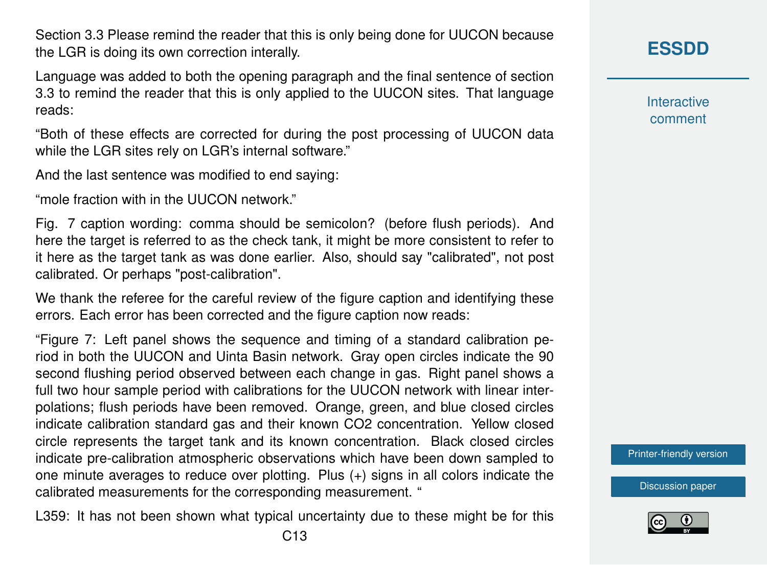Section 3.3 Please remind the reader that this is only being done for UUCON because the LGR is doing its own correction interally.

Language was added to both the opening paragraph and the final sentence of section 3.3 to remind the reader that this is only applied to the UUCON sites. That language reads:

"Both of these effects are corrected for during the post processing of UUCON data while the LGR sites rely on LGR's internal software."

And the last sentence was modified to end saying:

"mole fraction with in the UUCON network."

Fig. 7 caption wording: comma should be semicolon? (before flush periods). And here the target is referred to as the check tank, it might be more consistent to refer to it here as the target tank as was done earlier. Also, should say "calibrated", not post calibrated. Or perhaps "post-calibration".

We thank the referee for the careful review of the figure caption and identifying these errors. Each error has been corrected and the figure caption now reads:

"Figure 7: Left panel shows the sequence and timing of a standard calibration period in both the UUCON and Uinta Basin network. Gray open circles indicate the 90 second flushing period observed between each change in gas. Right panel shows a full two hour sample period with calibrations for the UUCON network with linear interpolations; flush periods have been removed. Orange, green, and blue closed circles indicate calibration standard gas and their known CO2 concentration. Yellow closed circle represents the target tank and its known concentration. Black closed circles indicate pre-calibration atmospheric observations which have been down sampled to one minute averages to reduce over plotting. Plus (+) signs in all colors indicate the calibrated measurements for the corresponding measurement. "

L359: It has not been shown what typical uncertainty due to these might be for this

**[ESSDD](https://www.earth-syst-sci-data-discuss.net/)**

**Interactive** comment

[Printer-friendly version](https://www.earth-syst-sci-data-discuss.net/essd-2018-148/essd-2018-148-AC1-print.pdf)

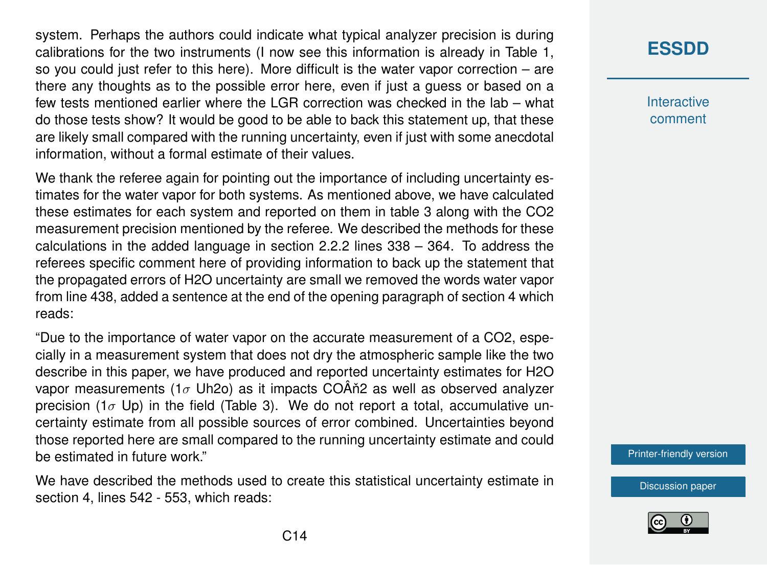system. Perhaps the authors could indicate what typical analyzer precision is during calibrations for the two instruments (I now see this information is already in Table 1, so you could just refer to this here). More difficult is the water vapor correction – are there any thoughts as to the possible error here, even if just a guess or based on a few tests mentioned earlier where the LGR correction was checked in the lab – what do those tests show? It would be good to be able to back this statement up, that these are likely small compared with the running uncertainty, even if just with some anecdotal information, without a formal estimate of their values.

We thank the referee again for pointing out the importance of including uncertainty estimates for the water vapor for both systems. As mentioned above, we have calculated these estimates for each system and reported on them in table 3 along with the CO2 measurement precision mentioned by the referee. We described the methods for these calculations in the added language in section 2.2.2 lines 338 – 364. To address the referees specific comment here of providing information to back up the statement that the propagated errors of H2O uncertainty are small we removed the words water vapor from line 438, added a sentence at the end of the opening paragraph of section 4 which reads:

"Due to the importance of water vapor on the accurate measurement of a CO2, especially in a measurement system that does not dry the atmospheric sample like the two describe in this paper, we have produced and reported uncertainty estimates for H2O vapor measurements (1 $\sigma$  Uh2o) as it impacts COÂn<sup>2</sup> as well as observed analyzer precision (1 $\sigma$  Up) in the field (Table 3). We do not report a total, accumulative uncertainty estimate from all possible sources of error combined. Uncertainties beyond those reported here are small compared to the running uncertainty estimate and could be estimated in future work."

We have described the methods used to create this statistical uncertainty estimate in section 4, lines 542 - 553, which reads:

### **[ESSDD](https://www.earth-syst-sci-data-discuss.net/)**

**Interactive** comment

[Printer-friendly version](https://www.earth-syst-sci-data-discuss.net/essd-2018-148/essd-2018-148-AC1-print.pdf)

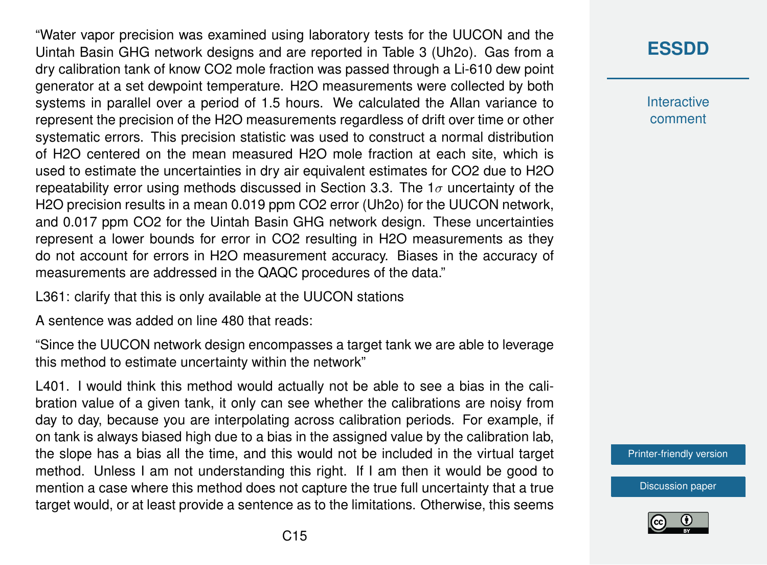"Water vapor precision was examined using laboratory tests for the UUCON and the Uintah Basin GHG network designs and are reported in Table 3 (Uh2o). Gas from a dry calibration tank of know CO2 mole fraction was passed through a Li-610 dew point generator at a set dewpoint temperature. H2O measurements were collected by both systems in parallel over a period of 1.5 hours. We calculated the Allan variance to represent the precision of the H2O measurements regardless of drift over time or other systematic errors. This precision statistic was used to construct a normal distribution of H2O centered on the mean measured H2O mole fraction at each site, which is used to estimate the uncertainties in dry air equivalent estimates for CO2 due to H2O repeatability error using methods discussed in Section 3.3. The  $1\sigma$  uncertainty of the H2O precision results in a mean 0.019 ppm CO2 error (Uh2o) for the UUCON network, and 0.017 ppm CO2 for the Uintah Basin GHG network design. These uncertainties represent a lower bounds for error in CO2 resulting in H2O measurements as they do not account for errors in H2O measurement accuracy. Biases in the accuracy of measurements are addressed in the QAQC procedures of the data."

L361: clarify that this is only available at the UUCON stations

A sentence was added on line 480 that reads:

"Since the UUCON network design encompasses a target tank we are able to leverage this method to estimate uncertainty within the network"

L401. I would think this method would actually not be able to see a bias in the calibration value of a given tank, it only can see whether the calibrations are noisy from day to day, because you are interpolating across calibration periods. For example, if on tank is always biased high due to a bias in the assigned value by the calibration lab, the slope has a bias all the time, and this would not be included in the virtual target method. Unless I am not understanding this right. If I am then it would be good to mention a case where this method does not capture the true full uncertainty that a true target would, or at least provide a sentence as to the limitations. Otherwise, this seems

# **[ESSDD](https://www.earth-syst-sci-data-discuss.net/)**

**Interactive** comment

[Printer-friendly version](https://www.earth-syst-sci-data-discuss.net/essd-2018-148/essd-2018-148-AC1-print.pdf)

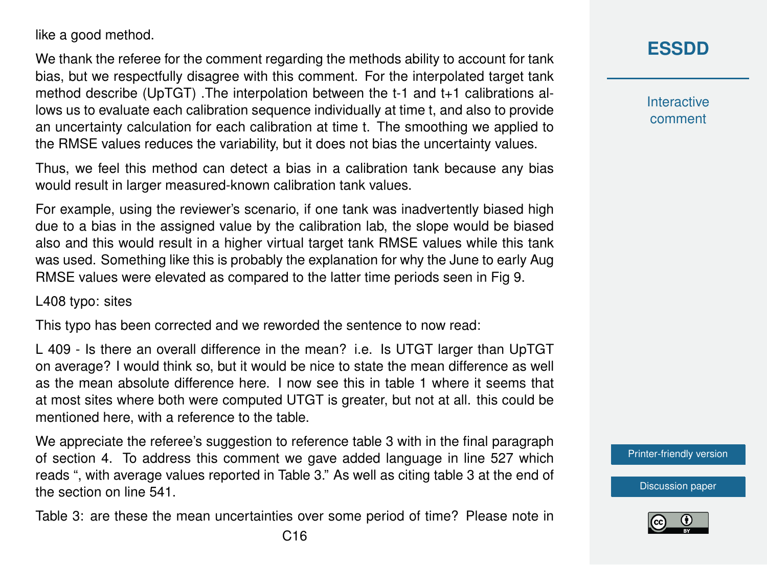like a good method.

We thank the referee for the comment regarding the methods ability to account for tank bias, but we respectfully disagree with this comment. For the interpolated target tank method describe (UpTGT) .The interpolation between the t-1 and t+1 calibrations allows us to evaluate each calibration sequence individually at time t, and also to provide an uncertainty calculation for each calibration at time t. The smoothing we applied to the RMSE values reduces the variability, but it does not bias the uncertainty values.

Thus, we feel this method can detect a bias in a calibration tank because any bias would result in larger measured-known calibration tank values.

For example, using the reviewer's scenario, if one tank was inadvertently biased high due to a bias in the assigned value by the calibration lab, the slope would be biased also and this would result in a higher virtual target tank RMSE values while this tank was used. Something like this is probably the explanation for why the June to early Aug RMSE values were elevated as compared to the latter time periods seen in Fig 9.

L408 typo: sites

This typo has been corrected and we reworded the sentence to now read:

L 409 - Is there an overall difference in the mean? i.e. Is UTGT larger than UpTGT on average? I would think so, but it would be nice to state the mean difference as well as the mean absolute difference here. I now see this in table 1 where it seems that at most sites where both were computed UTGT is greater, but not at all. this could be mentioned here, with a reference to the table.

We appreciate the referee's suggestion to reference table 3 with in the final paragraph of section 4. To address this comment we gave added language in line 527 which reads ", with average values reported in Table 3." As well as citing table 3 at the end of the section on line 541.

Table 3: are these the mean uncertainties over some period of time? Please note in

**[ESSDD](https://www.earth-syst-sci-data-discuss.net/)**

**Interactive** comment

[Printer-friendly version](https://www.earth-syst-sci-data-discuss.net/essd-2018-148/essd-2018-148-AC1-print.pdf)

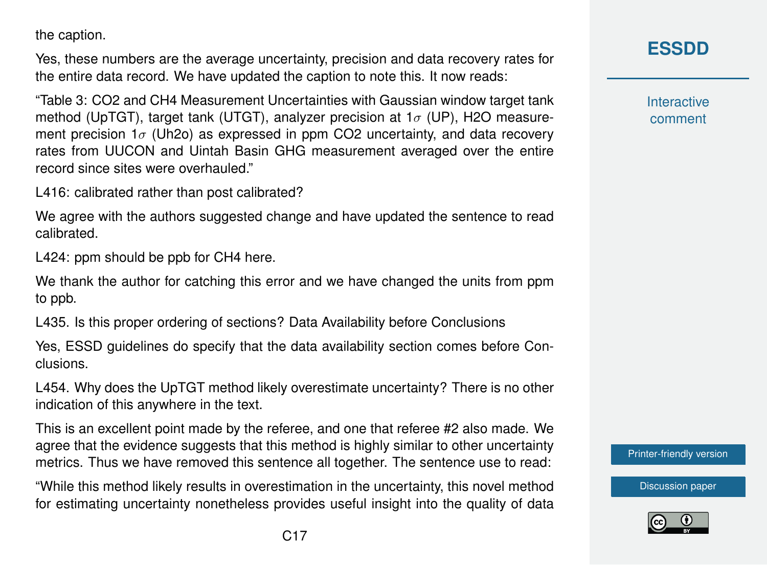the caption.

Yes, these numbers are the average uncertainty, precision and data recovery rates for the entire data record. We have updated the caption to note this. It now reads:

"Table 3: CO2 and CH4 Measurement Uncertainties with Gaussian window target tank method (UpTGT), target tank (UTGT), analyzer precision at  $1\sigma$  (UP), H2O measurement precision  $1\sigma$  (Uh2o) as expressed in ppm CO2 uncertainty, and data recovery rates from UUCON and Uintah Basin GHG measurement averaged over the entire record since sites were overhauled."

L416: calibrated rather than post calibrated?

We agree with the authors suggested change and have updated the sentence to read calibrated.

L424: ppm should be ppb for CH4 here.

We thank the author for catching this error and we have changed the units from ppm to ppb.

L435. Is this proper ordering of sections? Data Availability before Conclusions

Yes, ESSD guidelines do specify that the data availability section comes before Conclusions.

L454. Why does the UpTGT method likely overestimate uncertainty? There is no other indication of this anywhere in the text.

This is an excellent point made by the referee, and one that referee #2 also made. We agree that the evidence suggests that this method is highly similar to other uncertainty metrics. Thus we have removed this sentence all together. The sentence use to read:

"While this method likely results in overestimation in the uncertainty, this novel method for estimating uncertainty nonetheless provides useful insight into the quality of data **Interactive** comment

[Printer-friendly version](https://www.earth-syst-sci-data-discuss.net/essd-2018-148/essd-2018-148-AC1-print.pdf)

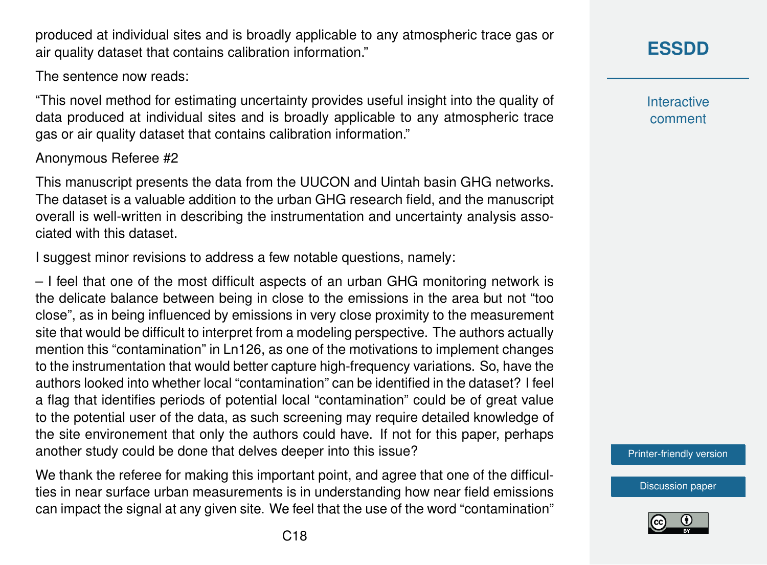produced at individual sites and is broadly applicable to any atmospheric trace gas or air quality dataset that contains calibration information."

The sentence now reads:

"This novel method for estimating uncertainty provides useful insight into the quality of data produced at individual sites and is broadly applicable to any atmospheric trace gas or air quality dataset that contains calibration information."

#### Anonymous Referee #2

This manuscript presents the data from the UUCON and Uintah basin GHG networks. The dataset is a valuable addition to the urban GHG research field, and the manuscript overall is well-written in describing the instrumentation and uncertainty analysis associated with this dataset.

I suggest minor revisions to address a few notable questions, namely:

– I feel that one of the most difficult aspects of an urban GHG monitoring network is the delicate balance between being in close to the emissions in the area but not "too close", as in being influenced by emissions in very close proximity to the measurement site that would be difficult to interpret from a modeling perspective. The authors actually mention this "contamination" in Ln126, as one of the motivations to implement changes to the instrumentation that would better capture high-frequency variations. So, have the authors looked into whether local "contamination" can be identified in the dataset? I feel a flag that identifies periods of potential local "contamination" could be of great value to the potential user of the data, as such screening may require detailed knowledge of the site environement that only the authors could have. If not for this paper, perhaps another study could be done that delves deeper into this issue?

We thank the referee for making this important point, and agree that one of the difficulties in near surface urban measurements is in understanding how near field emissions can impact the signal at any given site. We feel that the use of the word "contamination" **Interactive** comment

[Printer-friendly version](https://www.earth-syst-sci-data-discuss.net/essd-2018-148/essd-2018-148-AC1-print.pdf)

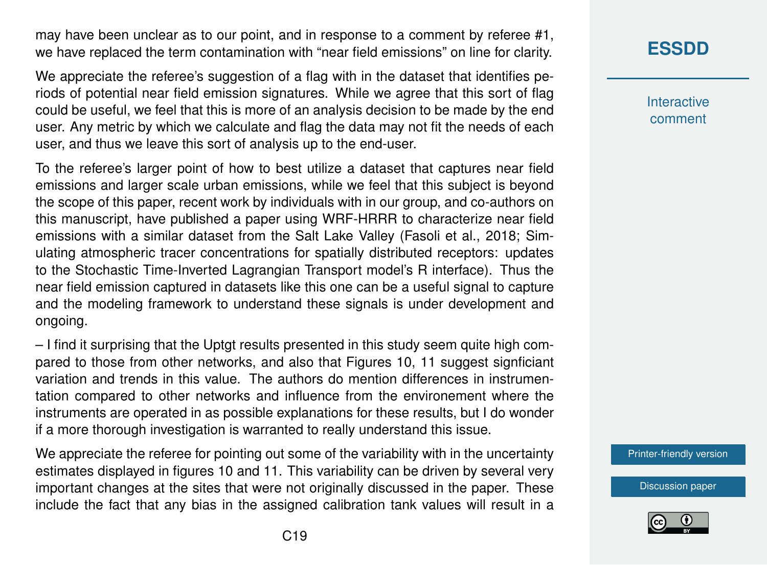may have been unclear as to our point, and in response to a comment by referee #1, we have replaced the term contamination with "near field emissions" on line for clarity.

We appreciate the referee's suggestion of a flag with in the dataset that identifies periods of potential near field emission signatures. While we agree that this sort of flag could be useful, we feel that this is more of an analysis decision to be made by the end user. Any metric by which we calculate and flag the data may not fit the needs of each user, and thus we leave this sort of analysis up to the end-user.

To the referee's larger point of how to best utilize a dataset that captures near field emissions and larger scale urban emissions, while we feel that this subject is beyond the scope of this paper, recent work by individuals with in our group, and co-authors on this manuscript, have published a paper using WRF-HRRR to characterize near field emissions with a similar dataset from the Salt Lake Valley (Fasoli et al., 2018; Simulating atmospheric tracer concentrations for spatially distributed receptors: updates to the Stochastic Time-Inverted Lagrangian Transport model's R interface). Thus the near field emission captured in datasets like this one can be a useful signal to capture and the modeling framework to understand these signals is under development and ongoing.

– I find it surprising that the Uptgt results presented in this study seem quite high compared to those from other networks, and also that Figures 10, 11 suggest signficiant variation and trends in this value. The authors do mention differences in instrumentation compared to other networks and influence from the environement where the instruments are operated in as possible explanations for these results, but I do wonder if a more thorough investigation is warranted to really understand this issue.

We appreciate the referee for pointing out some of the variability with in the uncertainty estimates displayed in figures 10 and 11. This variability can be driven by several very important changes at the sites that were not originally discussed in the paper. These include the fact that any bias in the assigned calibration tank values will result in a

# **[ESSDD](https://www.earth-syst-sci-data-discuss.net/)**

**Interactive** comment

[Printer-friendly version](https://www.earth-syst-sci-data-discuss.net/essd-2018-148/essd-2018-148-AC1-print.pdf)

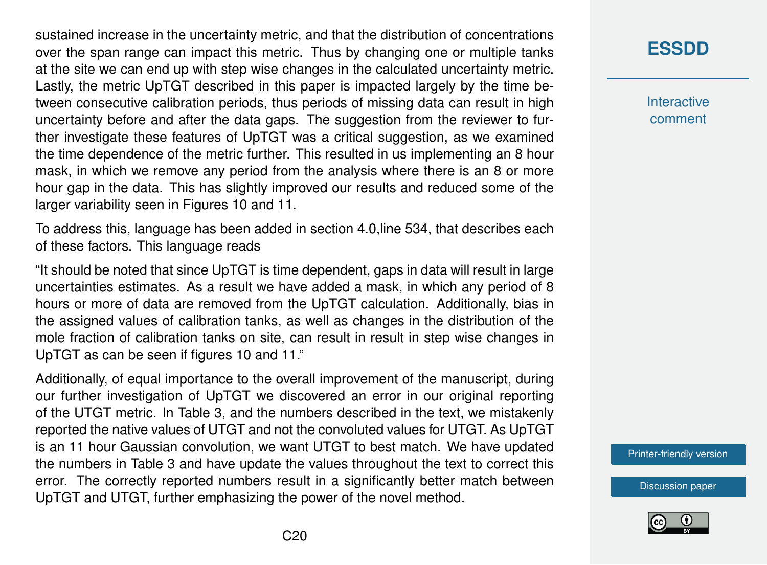sustained increase in the uncertainty metric, and that the distribution of concentrations over the span range can impact this metric. Thus by changing one or multiple tanks at the site we can end up with step wise changes in the calculated uncertainty metric. Lastly, the metric UpTGT described in this paper is impacted largely by the time between consecutive calibration periods, thus periods of missing data can result in high uncertainty before and after the data gaps. The suggestion from the reviewer to further investigate these features of UpTGT was a critical suggestion, as we examined the time dependence of the metric further. This resulted in us implementing an 8 hour mask, in which we remove any period from the analysis where there is an 8 or more hour gap in the data. This has slightly improved our results and reduced some of the larger variability seen in Figures 10 and 11.

To address this, language has been added in section 4.0,line 534, that describes each of these factors. This language reads

"It should be noted that since UpTGT is time dependent, gaps in data will result in large uncertainties estimates. As a result we have added a mask, in which any period of 8 hours or more of data are removed from the UpTGT calculation. Additionally, bias in the assigned values of calibration tanks, as well as changes in the distribution of the mole fraction of calibration tanks on site, can result in result in step wise changes in UpTGT as can be seen if figures 10 and 11."

Additionally, of equal importance to the overall improvement of the manuscript, during our further investigation of UpTGT we discovered an error in our original reporting of the UTGT metric. In Table 3, and the numbers described in the text, we mistakenly reported the native values of UTGT and not the convoluted values for UTGT. As UpTGT is an 11 hour Gaussian convolution, we want UTGT to best match. We have updated the numbers in Table 3 and have update the values throughout the text to correct this error. The correctly reported numbers result in a significantly better match between UpTGT and UTGT, further emphasizing the power of the novel method.

### **[ESSDD](https://www.earth-syst-sci-data-discuss.net/)**

**Interactive** comment

[Printer-friendly version](https://www.earth-syst-sci-data-discuss.net/essd-2018-148/essd-2018-148-AC1-print.pdf)

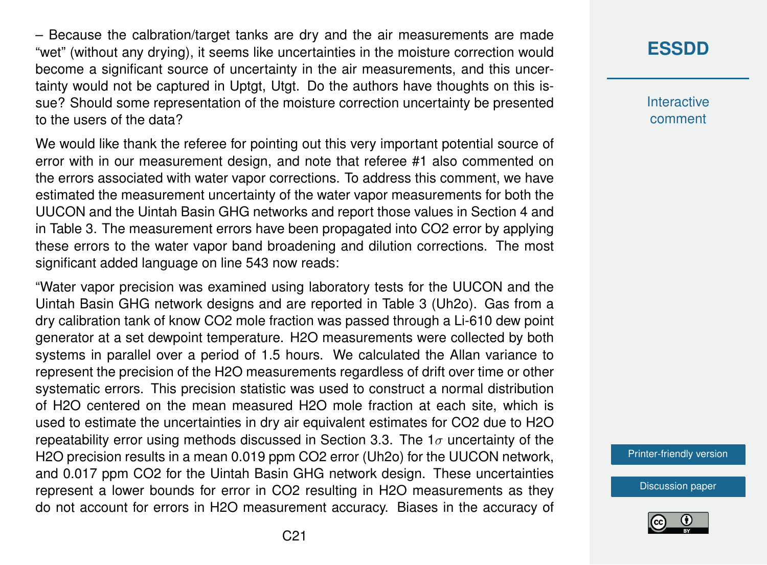– Because the calbration/target tanks are dry and the air measurements are made "wet" (without any drying), it seems like uncertainties in the moisture correction would become a significant source of uncertainty in the air measurements, and this uncertainty would not be captured in Uptgt, Utgt. Do the authors have thoughts on this issue? Should some representation of the moisture correction uncertainty be presented to the users of the data?

We would like thank the referee for pointing out this very important potential source of error with in our measurement design, and note that referee #1 also commented on the errors associated with water vapor corrections. To address this comment, we have estimated the measurement uncertainty of the water vapor measurements for both the UUCON and the Uintah Basin GHG networks and report those values in Section 4 and in Table 3. The measurement errors have been propagated into CO2 error by applying these errors to the water vapor band broadening and dilution corrections. The most significant added language on line 543 now reads:

"Water vapor precision was examined using laboratory tests for the UUCON and the Uintah Basin GHG network designs and are reported in Table 3 (Uh2o). Gas from a dry calibration tank of know CO2 mole fraction was passed through a Li-610 dew point generator at a set dewpoint temperature. H2O measurements were collected by both systems in parallel over a period of 1.5 hours. We calculated the Allan variance to represent the precision of the H2O measurements regardless of drift over time or other systematic errors. This precision statistic was used to construct a normal distribution of H2O centered on the mean measured H2O mole fraction at each site, which is used to estimate the uncertainties in dry air equivalent estimates for CO2 due to H2O repeatability error using methods discussed in Section 3.3. The  $1\sigma$  uncertainty of the H2O precision results in a mean 0.019 ppm CO2 error (Uh2o) for the UUCON network, and 0.017 ppm CO2 for the Uintah Basin GHG network design. These uncertainties represent a lower bounds for error in CO2 resulting in H2O measurements as they do not account for errors in H2O measurement accuracy. Biases in the accuracy of

### **[ESSDD](https://www.earth-syst-sci-data-discuss.net/)**

**Interactive** comment

[Printer-friendly version](https://www.earth-syst-sci-data-discuss.net/essd-2018-148/essd-2018-148-AC1-print.pdf)

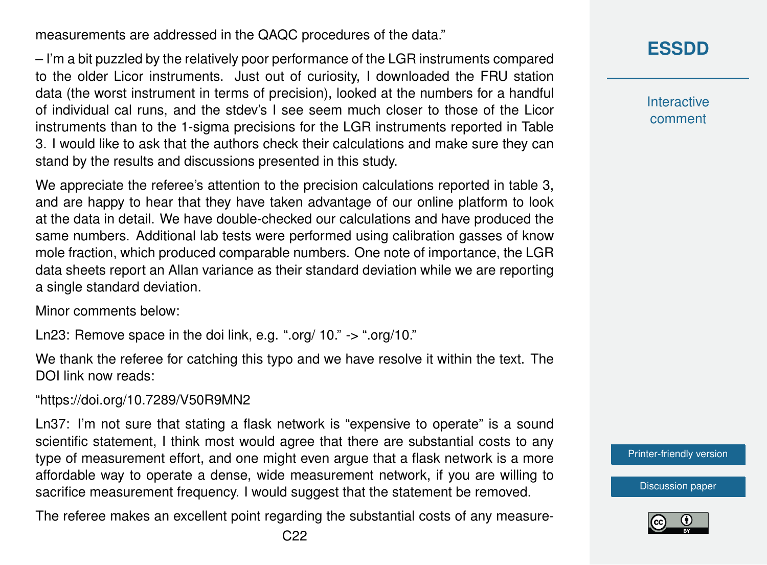measurements are addressed in the QAQC procedures of the data."

– I'm a bit puzzled by the relatively poor performance of the LGR instruments compared to the older Licor instruments. Just out of curiosity, I downloaded the FRU station data (the worst instrument in terms of precision), looked at the numbers for a handful of individual cal runs, and the stdev's I see seem much closer to those of the Licor instruments than to the 1-sigma precisions for the LGR instruments reported in Table 3. I would like to ask that the authors check their calculations and make sure they can stand by the results and discussions presented in this study.

We appreciate the referee's attention to the precision calculations reported in table 3, and are happy to hear that they have taken advantage of our online platform to look at the data in detail. We have double-checked our calculations and have produced the same numbers. Additional lab tests were performed using calibration gasses of know mole fraction, which produced comparable numbers. One note of importance, the LGR data sheets report an Allan variance as their standard deviation while we are reporting a single standard deviation.

Minor comments below:

Ln23: Remove space in the doi link, e.g. ".org/ 10." -> ".org/10."

We thank the referee for catching this typo and we have resolve it within the text. The DOI link now reads:

"https://doi.org/10.7289/V50R9MN2

Ln37: I'm not sure that stating a flask network is "expensive to operate" is a sound scientific statement, I think most would agree that there are substantial costs to any type of measurement effort, and one might even argue that a flask network is a more affordable way to operate a dense, wide measurement network, if you are willing to sacrifice measurement frequency. I would suggest that the statement be removed.

The referee makes an excellent point regarding the substantial costs of any measure-

**[ESSDD](https://www.earth-syst-sci-data-discuss.net/)**

**Interactive** comment

[Printer-friendly version](https://www.earth-syst-sci-data-discuss.net/essd-2018-148/essd-2018-148-AC1-print.pdf)

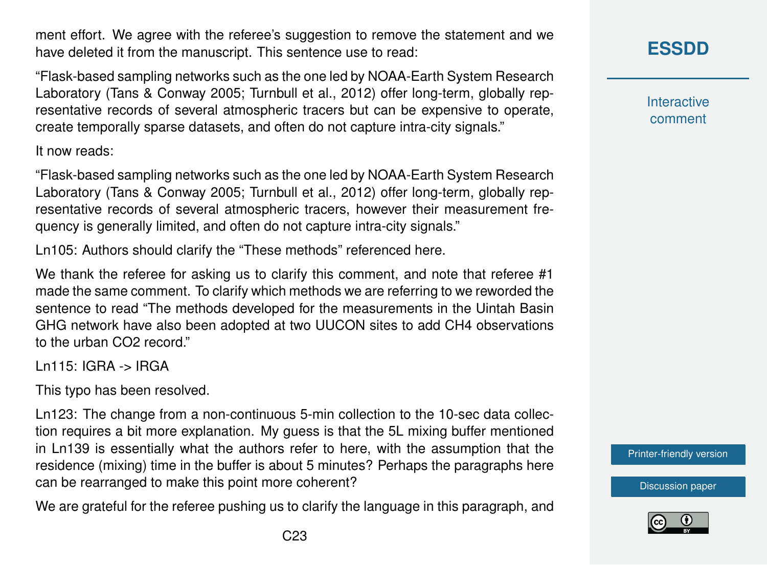ment effort. We agree with the referee's suggestion to remove the statement and we have deleted it from the manuscript. This sentence use to read:

"Flask-based sampling networks such as the one led by NOAA-Earth System Research Laboratory (Tans & Conway 2005; Turnbull et al., 2012) offer long-term, globally representative records of several atmospheric tracers but can be expensive to operate, create temporally sparse datasets, and often do not capture intra-city signals."

It now reads:

"Flask-based sampling networks such as the one led by NOAA-Earth System Research Laboratory (Tans & Conway 2005; Turnbull et al., 2012) offer long-term, globally representative records of several atmospheric tracers, however their measurement frequency is generally limited, and often do not capture intra-city signals."

Ln105: Authors should clarify the "These methods" referenced here.

We thank the referee for asking us to clarify this comment, and note that referee #1 made the same comment. To clarify which methods we are referring to we reworded the sentence to read "The methods developed for the measurements in the Uintah Basin GHG network have also been adopted at two UUCON sites to add CH4 observations to the urban CO2 record."

Ln115: IGRA -> IRGA

This typo has been resolved.

Ln123: The change from a non-continuous 5-min collection to the 10-sec data collection requires a bit more explanation. My guess is that the 5L mixing buffer mentioned in Ln139 is essentially what the authors refer to here, with the assumption that the residence (mixing) time in the buffer is about 5 minutes? Perhaps the paragraphs here can be rearranged to make this point more coherent?

We are grateful for the referee pushing us to clarify the language in this paragraph, and

## **[ESSDD](https://www.earth-syst-sci-data-discuss.net/)**

**Interactive** comment

[Printer-friendly version](https://www.earth-syst-sci-data-discuss.net/essd-2018-148/essd-2018-148-AC1-print.pdf)

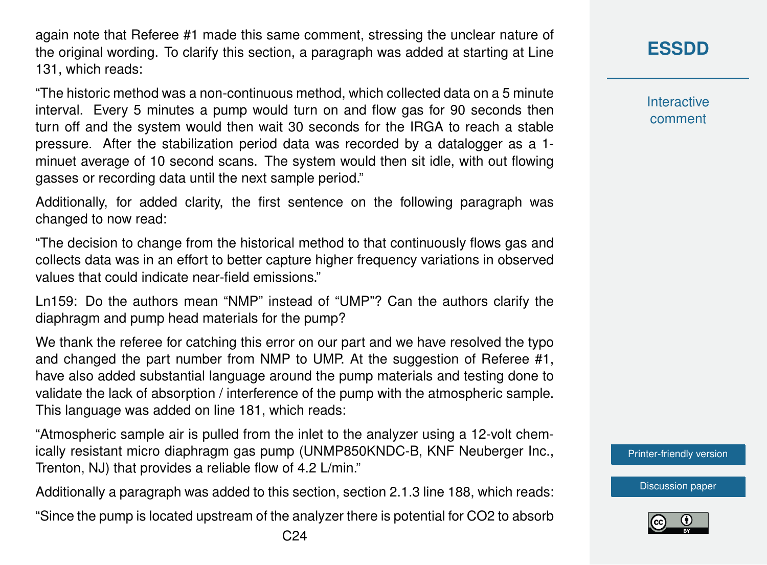again note that Referee #1 made this same comment, stressing the unclear nature of the original wording. To clarify this section, a paragraph was added at starting at Line 131, which reads:

"The historic method was a non-continuous method, which collected data on a 5 minute interval. Every 5 minutes a pump would turn on and flow gas for 90 seconds then turn off and the system would then wait 30 seconds for the IRGA to reach a stable pressure. After the stabilization period data was recorded by a datalogger as a 1 minuet average of 10 second scans. The system would then sit idle, with out flowing gasses or recording data until the next sample period."

Additionally, for added clarity, the first sentence on the following paragraph was changed to now read:

"The decision to change from the historical method to that continuously flows gas and collects data was in an effort to better capture higher frequency variations in observed values that could indicate near-field emissions."

Ln159: Do the authors mean "NMP" instead of "UMP"? Can the authors clarify the diaphragm and pump head materials for the pump?

We thank the referee for catching this error on our part and we have resolved the typo and changed the part number from NMP to UMP. At the suggestion of Referee #1, have also added substantial language around the pump materials and testing done to validate the lack of absorption / interference of the pump with the atmospheric sample. This language was added on line 181, which reads:

"Atmospheric sample air is pulled from the inlet to the analyzer using a 12-volt chemically resistant micro diaphragm gas pump (UNMP850KNDC-B, KNF Neuberger Inc., Trenton, NJ) that provides a reliable flow of 4.2 L/min."

Additionally a paragraph was added to this section, section 2.1.3 line 188, which reads:

"Since the pump is located upstream of the analyzer there is potential for CO2 to absorb

**Interactive** comment

[Printer-friendly version](https://www.earth-syst-sci-data-discuss.net/essd-2018-148/essd-2018-148-AC1-print.pdf)

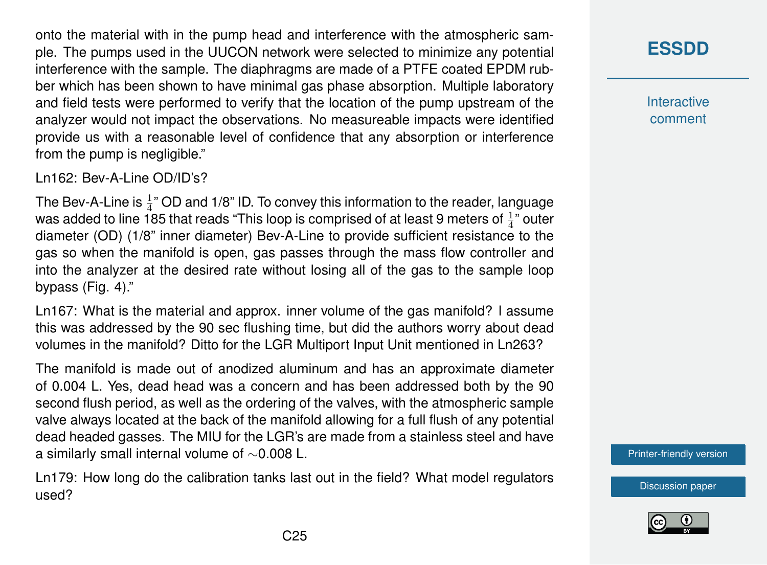onto the material with in the pump head and interference with the atmospheric sample. The pumps used in the UUCON network were selected to minimize any potential interference with the sample. The diaphragms are made of a PTFE coated EPDM rubber which has been shown to have minimal gas phase absorption. Multiple laboratory and field tests were performed to verify that the location of the pump upstream of the analyzer would not impact the observations. No measureable impacts were identified provide us with a reasonable level of confidence that any absorption or interference from the pump is negligible."

Ln162: Bev-A-Line OD/ID's?

The Bev-A-Line is  $\frac{1}{4}$ " OD and 1/8" ID. To convey this information to the reader, language was added to line 185 that reads "This loop is comprised of at least 9 meters of  $\frac{1}{4}$ " outer diameter (OD) (1/8" inner diameter) Bev-A-Line to provide sufficient resistance to the gas so when the manifold is open, gas passes through the mass flow controller and into the analyzer at the desired rate without losing all of the gas to the sample loop bypass (Fig. 4)."

Ln167: What is the material and approx. inner volume of the gas manifold? I assume this was addressed by the 90 sec flushing time, but did the authors worry about dead volumes in the manifold? Ditto for the LGR Multiport Input Unit mentioned in Ln263?

The manifold is made out of anodized aluminum and has an approximate diameter of 0.004 L. Yes, dead head was a concern and has been addressed both by the 90 second flush period, as well as the ordering of the valves, with the atmospheric sample valve always located at the back of the manifold allowing for a full flush of any potential dead headed gasses. The MIU for the LGR's are made from a stainless steel and have a similarly small internal volume of ∼0.008 L.

Ln179: How long do the calibration tanks last out in the field? What model regulators used?

**[ESSDD](https://www.earth-syst-sci-data-discuss.net/)**

**Interactive** comment

[Printer-friendly version](https://www.earth-syst-sci-data-discuss.net/essd-2018-148/essd-2018-148-AC1-print.pdf)

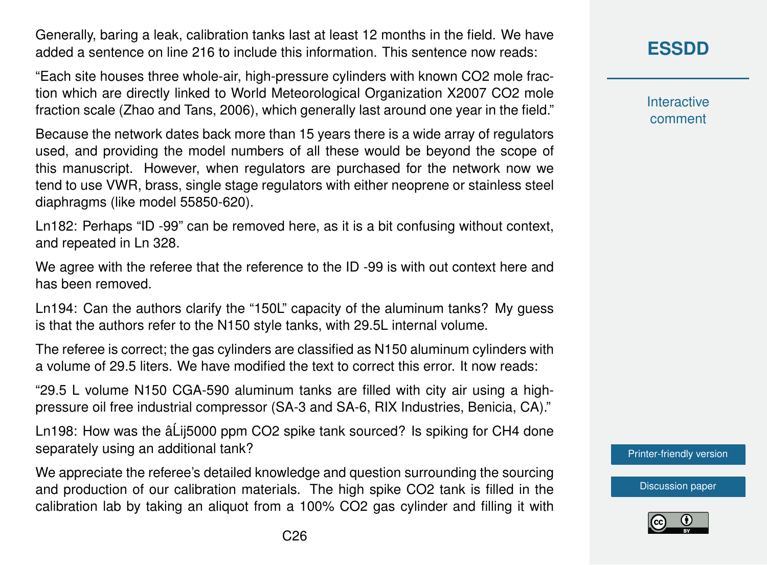Generally, baring a leak, calibration tanks last at least 12 months in the field. We have added a sentence on line 216 to include this information. This sentence now reads:

"Each site houses three whole-air, high-pressure cylinders with known CO2 mole fraction which are directly linked to World Meteorological Organization X2007 CO2 mole fraction scale (Zhao and Tans, 2006), which generally last around one year in the field."

Because the network dates back more than 15 years there is a wide array of regulators used, and providing the model numbers of all these would be beyond the scope of this manuscript. However, when regulators are purchased for the network now we tend to use VWR, brass, single stage regulators with either neoprene or stainless steel diaphragms (like model 55850-620).

Ln182: Perhaps "ID -99" can be removed here, as it is a bit confusing without context, and repeated in Ln 328.

We agree with the referee that the reference to the ID -99 is with out context here and has been removed.

Ln194: Can the authors clarify the "150L" capacity of the aluminum tanks? My guess is that the authors refer to the N150 style tanks, with 29.5L internal volume.

The referee is correct; the gas cylinders are classified as N150 aluminum cylinders with a volume of 29.5 liters. We have modified the text to correct this error. It now reads:

"29.5 L volume N150 CGA-590 aluminum tanks are filled with city air using a highpressure oil free industrial compressor (SA-3 and SA-6, RIX Industries, Benicia, CA)."

Ln198: How was the â Lij 5000 ppm CO2 spike tank sourced? Is spiking for CH4 done separately using an additional tank?

We appreciate the referee's detailed knowledge and question surrounding the sourcing and production of our calibration materials. The high spike CO2 tank is filled in the calibration lab by taking an aliquot from a 100% CO2 gas cylinder and filling it with **Interactive** comment

[Printer-friendly version](https://www.earth-syst-sci-data-discuss.net/essd-2018-148/essd-2018-148-AC1-print.pdf)

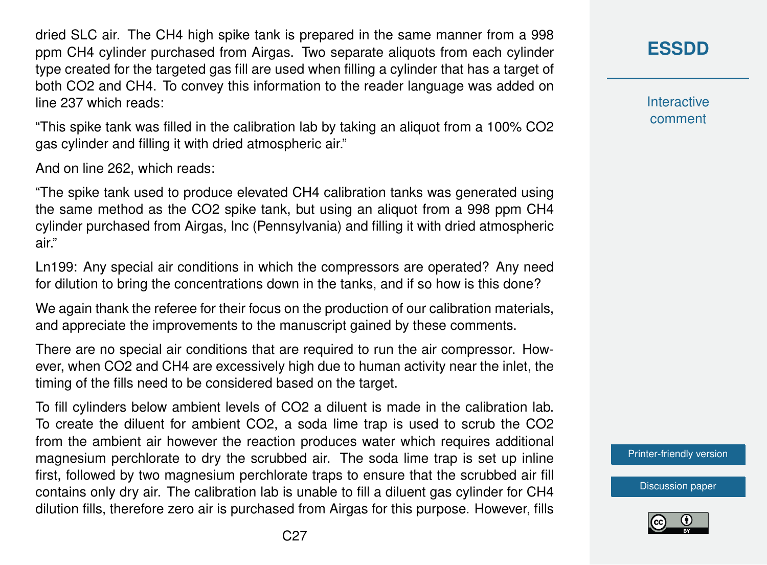dried SLC air. The CH4 high spike tank is prepared in the same manner from a 998 ppm CH4 cylinder purchased from Airgas. Two separate aliquots from each cylinder type created for the targeted gas fill are used when filling a cylinder that has a target of both CO2 and CH4. To convey this information to the reader language was added on line 237 which reads:

"This spike tank was filled in the calibration lab by taking an aliquot from a 100% CO2 gas cylinder and filling it with dried atmospheric air."

And on line 262, which reads:

"The spike tank used to produce elevated CH4 calibration tanks was generated using the same method as the CO2 spike tank, but using an aliquot from a 998 ppm CH4 cylinder purchased from Airgas, Inc (Pennsylvania) and filling it with dried atmospheric air."

Ln199: Any special air conditions in which the compressors are operated? Any need for dilution to bring the concentrations down in the tanks, and if so how is this done?

We again thank the referee for their focus on the production of our calibration materials, and appreciate the improvements to the manuscript gained by these comments.

There are no special air conditions that are required to run the air compressor. However, when CO2 and CH4 are excessively high due to human activity near the inlet, the timing of the fills need to be considered based on the target.

To fill cylinders below ambient levels of CO2 a diluent is made in the calibration lab. To create the diluent for ambient CO2, a soda lime trap is used to scrub the CO2 from the ambient air however the reaction produces water which requires additional magnesium perchlorate to dry the scrubbed air. The soda lime trap is set up inline first, followed by two magnesium perchlorate traps to ensure that the scrubbed air fill contains only dry air. The calibration lab is unable to fill a diluent gas cylinder for CH4 dilution fills, therefore zero air is purchased from Airgas for this purpose. However, fills **[ESSDD](https://www.earth-syst-sci-data-discuss.net/)**

**Interactive** comment

[Printer-friendly version](https://www.earth-syst-sci-data-discuss.net/essd-2018-148/essd-2018-148-AC1-print.pdf)

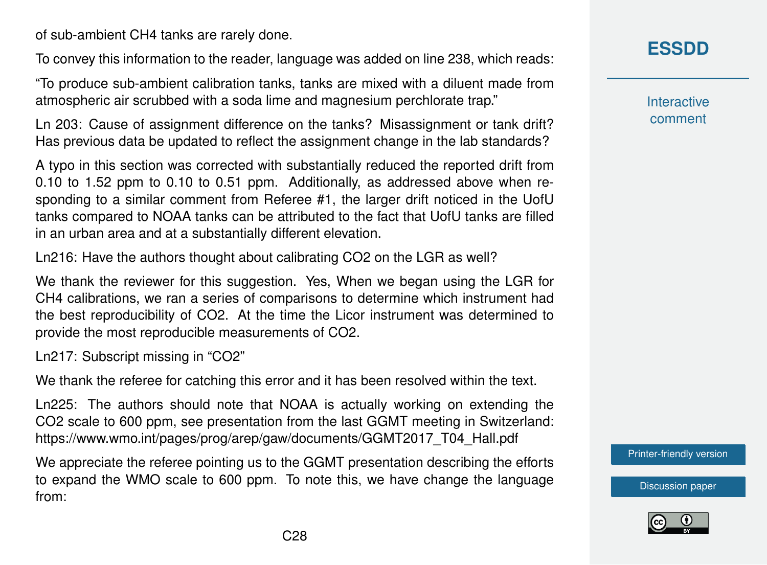of sub-ambient CH4 tanks are rarely done.

To convey this information to the reader, language was added on line 238, which reads:

"To produce sub-ambient calibration tanks, tanks are mixed with a diluent made from atmospheric air scrubbed with a soda lime and magnesium perchlorate trap."

Ln 203: Cause of assignment difference on the tanks? Misassignment or tank drift? Has previous data be updated to reflect the assignment change in the lab standards?

A typo in this section was corrected with substantially reduced the reported drift from 0.10 to 1.52 ppm to 0.10 to 0.51 ppm. Additionally, as addressed above when responding to a similar comment from Referee #1, the larger drift noticed in the UofU tanks compared to NOAA tanks can be attributed to the fact that UofU tanks are filled in an urban area and at a substantially different elevation.

Ln216: Have the authors thought about calibrating CO2 on the LGR as well?

We thank the reviewer for this suggestion. Yes, When we began using the LGR for CH4 calibrations, we ran a series of comparisons to determine which instrument had the best reproducibility of CO2. At the time the Licor instrument was determined to provide the most reproducible measurements of CO2.

Ln217: Subscript missing in "CO2"

We thank the referee for catching this error and it has been resolved within the text.

Ln225: The authors should note that NOAA is actually working on extending the CO2 scale to 600 ppm, see presentation from the last GGMT meeting in Switzerland: https://www.wmo.int/pages/prog/arep/gaw/documents/GGMT2017\_T04\_Hall.pdf

We appreciate the referee pointing us to the GGMT presentation describing the efforts to expand the WMO scale to 600 ppm. To note this, we have change the language from:

**[ESSDD](https://www.earth-syst-sci-data-discuss.net/)**

**Interactive** comment

[Printer-friendly version](https://www.earth-syst-sci-data-discuss.net/essd-2018-148/essd-2018-148-AC1-print.pdf)

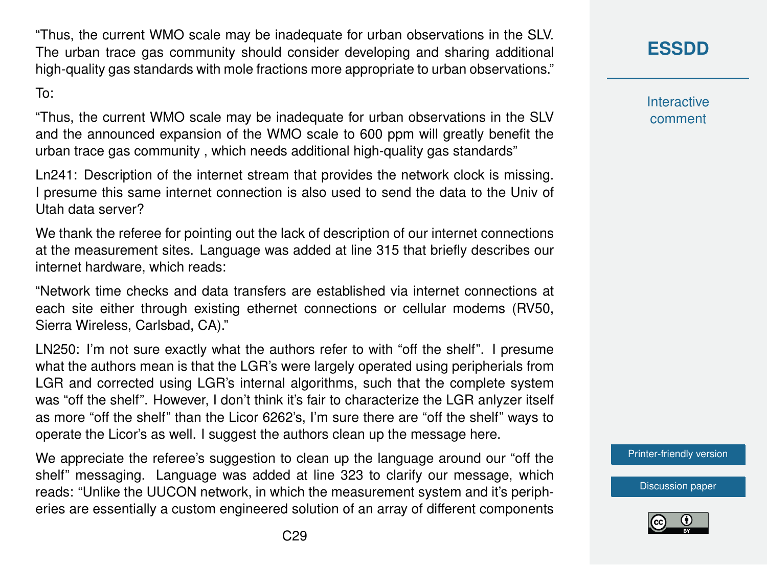"Thus, the current WMO scale may be inadequate for urban observations in the SLV. The urban trace gas community should consider developing and sharing additional high-quality gas standards with mole fractions more appropriate to urban observations."

To:

"Thus, the current WMO scale may be inadequate for urban observations in the SLV and the announced expansion of the WMO scale to 600 ppm will greatly benefit the urban trace gas community , which needs additional high-quality gas standards"

Ln241: Description of the internet stream that provides the network clock is missing. I presume this same internet connection is also used to send the data to the Univ of Utah data server?

We thank the referee for pointing out the lack of description of our internet connections at the measurement sites. Language was added at line 315 that briefly describes our internet hardware, which reads:

"Network time checks and data transfers are established via internet connections at each site either through existing ethernet connections or cellular modems (RV50, Sierra Wireless, Carlsbad, CA)."

LN250: I'm not sure exactly what the authors refer to with "off the shelf". I presume what the authors mean is that the LGR's were largely operated using peripherials from LGR and corrected using LGR's internal algorithms, such that the complete system was "off the shelf". However, I don't think it's fair to characterize the LGR anlyzer itself as more "off the shelf" than the Licor 6262's, I'm sure there are "off the shelf" ways to operate the Licor's as well. I suggest the authors clean up the message here.

We appreciate the referee's suggestion to clean up the language around our "off the shelf" messaging. Language was added at line 323 to clarify our message, which reads: "Unlike the UUCON network, in which the measurement system and it's peripheries are essentially a custom engineered solution of an array of different components **[ESSDD](https://www.earth-syst-sci-data-discuss.net/)**

**Interactive** comment

[Printer-friendly version](https://www.earth-syst-sci-data-discuss.net/essd-2018-148/essd-2018-148-AC1-print.pdf)

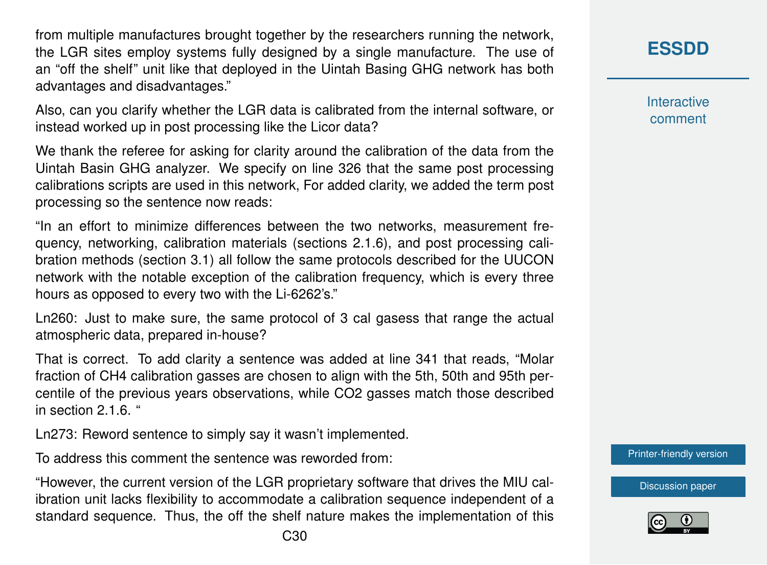from multiple manufactures brought together by the researchers running the network, the LGR sites employ systems fully designed by a single manufacture. The use of an "off the shelf" unit like that deployed in the Uintah Basing GHG network has both advantages and disadvantages."

Also, can you clarify whether the LGR data is calibrated from the internal software, or instead worked up in post processing like the Licor data?

We thank the referee for asking for clarity around the calibration of the data from the Uintah Basin GHG analyzer. We specify on line 326 that the same post processing calibrations scripts are used in this network, For added clarity, we added the term post processing so the sentence now reads:

"In an effort to minimize differences between the two networks, measurement frequency, networking, calibration materials (sections 2.1.6), and post processing calibration methods (section 3.1) all follow the same protocols described for the UUCON network with the notable exception of the calibration frequency, which is every three hours as opposed to every two with the Li-6262's."

Ln260: Just to make sure, the same protocol of 3 cal gasess that range the actual atmospheric data, prepared in-house?

That is correct. To add clarity a sentence was added at line 341 that reads, "Molar fraction of CH4 calibration gasses are chosen to align with the 5th, 50th and 95th percentile of the previous years observations, while CO2 gasses match those described in section 2.1.6. "

Ln273: Reword sentence to simply say it wasn't implemented.

To address this comment the sentence was reworded from:

"However, the current version of the LGR proprietary software that drives the MIU calibration unit lacks flexibility to accommodate a calibration sequence independent of a standard sequence. Thus, the off the shelf nature makes the implementation of this

## **[ESSDD](https://www.earth-syst-sci-data-discuss.net/)**

**Interactive** comment

[Printer-friendly version](https://www.earth-syst-sci-data-discuss.net/essd-2018-148/essd-2018-148-AC1-print.pdf)

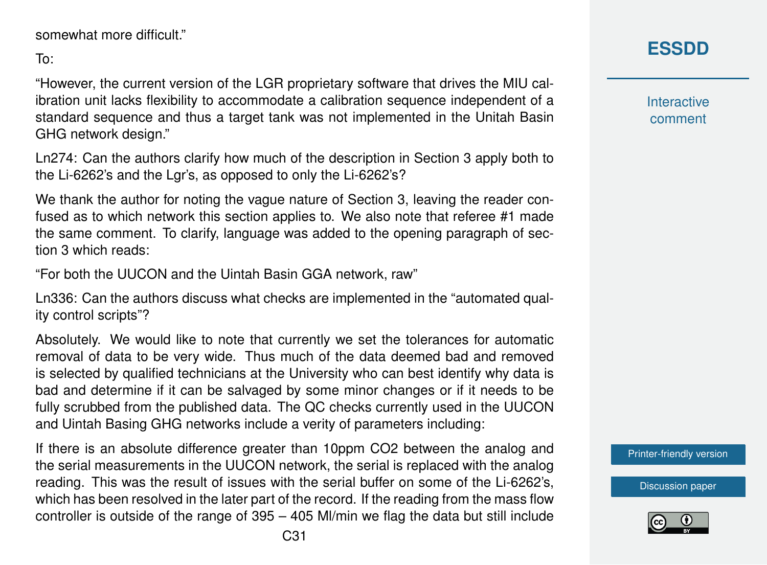```
somewhat more difficult."
```
To:

"However, the current version of the LGR proprietary software that drives the MIU calibration unit lacks flexibility to accommodate a calibration sequence independent of a standard sequence and thus a target tank was not implemented in the Unitah Basin GHG network design."

Ln274: Can the authors clarify how much of the description in Section 3 apply both to the Li-6262's and the Lgr's, as opposed to only the Li-6262's?

We thank the author for noting the vague nature of Section 3, leaving the reader confused as to which network this section applies to. We also note that referee #1 made the same comment. To clarify, language was added to the opening paragraph of section 3 which reads:

"For both the UUCON and the Uintah Basin GGA network, raw"

Ln336: Can the authors discuss what checks are implemented in the "automated quality control scripts"?

Absolutely. We would like to note that currently we set the tolerances for automatic removal of data to be very wide. Thus much of the data deemed bad and removed is selected by qualified technicians at the University who can best identify why data is bad and determine if it can be salvaged by some minor changes or if it needs to be fully scrubbed from the published data. The QC checks currently used in the UUCON and Uintah Basing GHG networks include a verity of parameters including:

If there is an absolute difference greater than 10ppm CO2 between the analog and the serial measurements in the UUCON network, the serial is replaced with the analog reading. This was the result of issues with the serial buffer on some of the Li-6262's, which has been resolved in the later part of the record. If the reading from the mass flow controller is outside of the range of 395 – 405 Ml/min we flag the data but still include **Interactive** comment

[Printer-friendly version](https://www.earth-syst-sci-data-discuss.net/essd-2018-148/essd-2018-148-AC1-print.pdf)

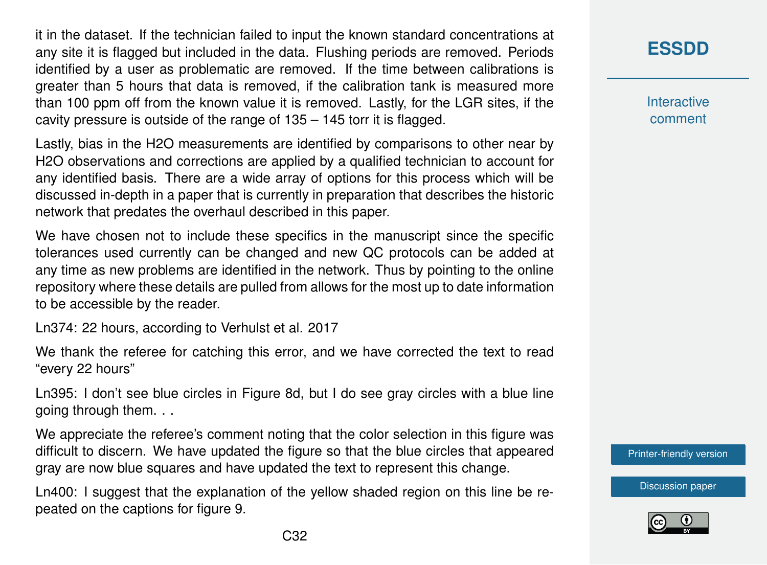it in the dataset. If the technician failed to input the known standard concentrations at any site it is flagged but included in the data. Flushing periods are removed. Periods identified by a user as problematic are removed. If the time between calibrations is greater than 5 hours that data is removed, if the calibration tank is measured more than 100 ppm off from the known value it is removed. Lastly, for the LGR sites, if the cavity pressure is outside of the range of 135 – 145 torr it is flagged.

Lastly, bias in the H2O measurements are identified by comparisons to other near by H2O observations and corrections are applied by a qualified technician to account for any identified basis. There are a wide array of options for this process which will be discussed in-depth in a paper that is currently in preparation that describes the historic network that predates the overhaul described in this paper.

We have chosen not to include these specifics in the manuscript since the specific tolerances used currently can be changed and new QC protocols can be added at any time as new problems are identified in the network. Thus by pointing to the online repository where these details are pulled from allows for the most up to date information to be accessible by the reader.

Ln374: 22 hours, according to Verhulst et al. 2017

We thank the referee for catching this error, and we have corrected the text to read "every 22 hours"

Ln395: I don't see blue circles in Figure 8d, but I do see gray circles with a blue line going through them. . .

We appreciate the referee's comment noting that the color selection in this figure was difficult to discern. We have updated the figure so that the blue circles that appeared gray are now blue squares and have updated the text to represent this change.

Ln400: I suggest that the explanation of the yellow shaded region on this line be repeated on the captions for figure 9.

**[ESSDD](https://www.earth-syst-sci-data-discuss.net/)**

**Interactive** comment

[Printer-friendly version](https://www.earth-syst-sci-data-discuss.net/essd-2018-148/essd-2018-148-AC1-print.pdf)

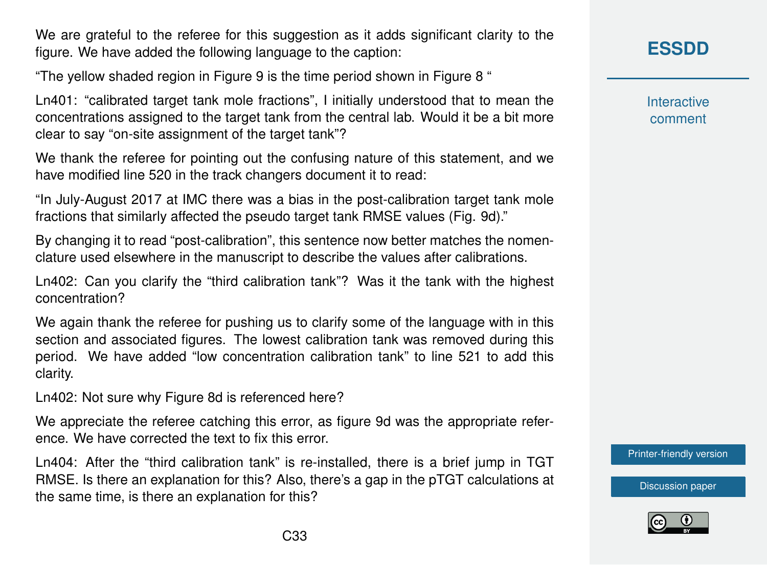We are grateful to the referee for this suggestion as it adds significant clarity to the figure. We have added the following language to the caption:

"The yellow shaded region in Figure 9 is the time period shown in Figure 8 "

Ln401: "calibrated target tank mole fractions", I initially understood that to mean the concentrations assigned to the target tank from the central lab. Would it be a bit more clear to say "on-site assignment of the target tank"?

We thank the referee for pointing out the confusing nature of this statement, and we have modified line 520 in the track changers document it to read:

"In July-August 2017 at IMC there was a bias in the post-calibration target tank mole fractions that similarly affected the pseudo target tank RMSE values (Fig. 9d)."

By changing it to read "post-calibration", this sentence now better matches the nomenclature used elsewhere in the manuscript to describe the values after calibrations.

Ln402: Can you clarify the "third calibration tank"? Was it the tank with the highest concentration?

We again thank the referee for pushing us to clarify some of the language with in this section and associated figures. The lowest calibration tank was removed during this period. We have added "low concentration calibration tank" to line 521 to add this clarity.

Ln402: Not sure why Figure 8d is referenced here?

We appreciate the referee catching this error, as figure 9d was the appropriate reference. We have corrected the text to fix this error.

Ln404: After the "third calibration tank" is re-installed, there is a brief jump in TGT RMSE. Is there an explanation for this? Also, there's a gap in the pTGT calculations at the same time, is there an explanation for this?

**[ESSDD](https://www.earth-syst-sci-data-discuss.net/)**

**Interactive** comment

[Printer-friendly version](https://www.earth-syst-sci-data-discuss.net/essd-2018-148/essd-2018-148-AC1-print.pdf)

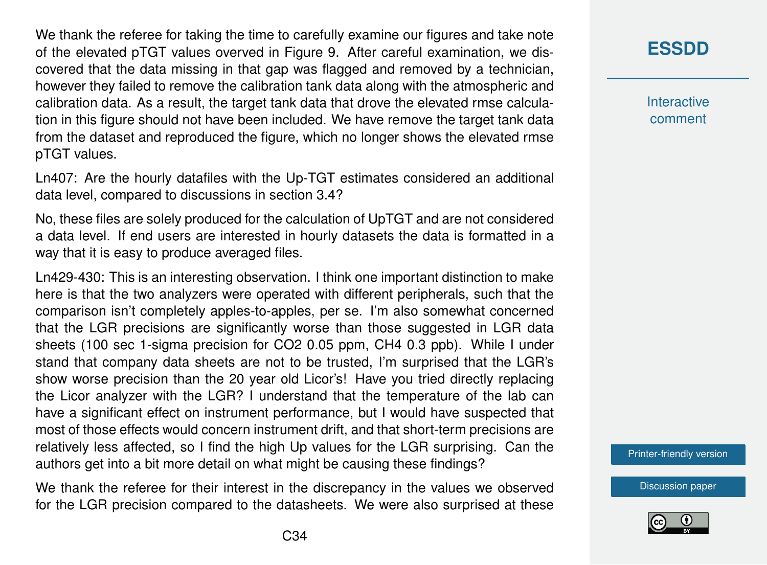We thank the referee for taking the time to carefully examine our figures and take note of the elevated pTGT values overved in Figure 9. After careful examination, we discovered that the data missing in that gap was flagged and removed by a technician, however they failed to remove the calibration tank data along with the atmospheric and calibration data. As a result, the target tank data that drove the elevated rmse calculation in this figure should not have been included. We have remove the target tank data from the dataset and reproduced the figure, which no longer shows the elevated rmse pTGT values.

Ln407: Are the hourly datafiles with the Up-TGT estimates considered an additional data level, compared to discussions in section 3.4?

No, these files are solely produced for the calculation of UpTGT and are not considered a data level. If end users are interested in hourly datasets the data is formatted in a way that it is easy to produce averaged files.

Ln429-430: This is an interesting observation. I think one important distinction to make here is that the two analyzers were operated with different peripherals, such that the comparison isn't completely apples-to-apples, per se. I'm also somewhat concerned that the LGR precisions are significantly worse than those suggested in LGR data sheets (100 sec 1-sigma precision for CO2 0.05 ppm, CH4 0.3 ppb). While I under stand that company data sheets are not to be trusted, I'm surprised that the LGR's show worse precision than the 20 year old Licor's! Have you tried directly replacing the Licor analyzer with the LGR? I understand that the temperature of the lab can have a significant effect on instrument performance, but I would have suspected that most of those effects would concern instrument drift, and that short-term precisions are relatively less affected, so I find the high Up values for the LGR surprising. Can the authors get into a bit more detail on what might be causing these findings?

We thank the referee for their interest in the discrepancy in the values we observed for the LGR precision compared to the datasheets. We were also surprised at these

### **[ESSDD](https://www.earth-syst-sci-data-discuss.net/)**

**Interactive** comment

[Printer-friendly version](https://www.earth-syst-sci-data-discuss.net/essd-2018-148/essd-2018-148-AC1-print.pdf)

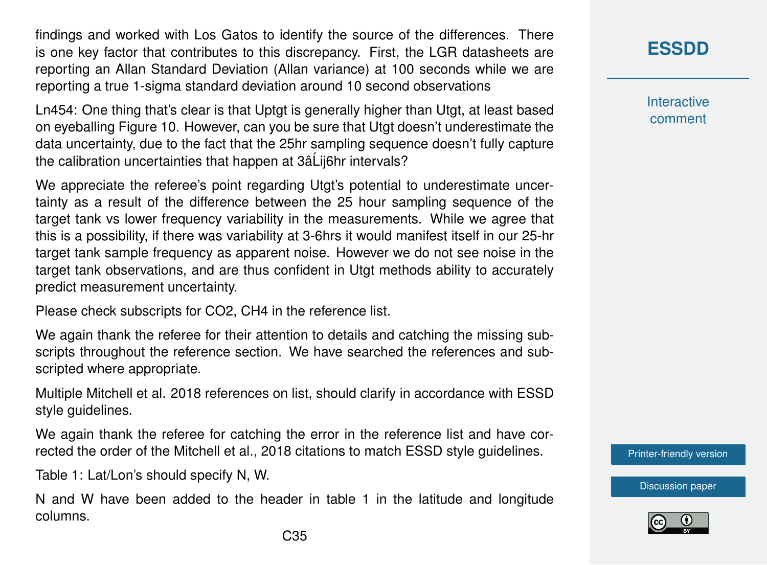findings and worked with Los Gatos to identify the source of the differences. There is one key factor that contributes to this discrepancy. First, the LGR datasheets are reporting an Allan Standard Deviation (Allan variance) at 100 seconds while we are reporting a true 1-sigma standard deviation around 10 second observations

Ln454: One thing that's clear is that Uptgt is generally higher than Utgt, at least based on eyeballing Figure 10. However, can you be sure that Utgt doesn't underestimate the data uncertainty, due to the fact that the 25hr sampling sequence doesn't fully capture the calibration uncertainties that happen at 3âLij6hr intervals?

We appreciate the referee's point regarding Utgt's potential to underestimate uncertainty as a result of the difference between the 25 hour sampling sequence of the target tank vs lower frequency variability in the measurements. While we agree that this is a possibility, if there was variability at 3-6hrs it would manifest itself in our 25-hr target tank sample frequency as apparent noise. However we do not see noise in the target tank observations, and are thus confident in Utgt methods ability to accurately predict measurement uncertainty.

Please check subscripts for CO2, CH4 in the reference list.

We again thank the referee for their attention to details and catching the missing subscripts throughout the reference section. We have searched the references and subscripted where appropriate.

Multiple Mitchell et al. 2018 references on list, should clarify in accordance with ESSD style guidelines.

We again thank the referee for catching the error in the reference list and have corrected the order of the Mitchell et al., 2018 citations to match ESSD style guidelines.

Table 1: Lat/Lon's should specify N, W.

N and W have been added to the header in table 1 in the latitude and longitude columns.

**[ESSDD](https://www.earth-syst-sci-data-discuss.net/)**

**Interactive** comment

[Printer-friendly version](https://www.earth-syst-sci-data-discuss.net/essd-2018-148/essd-2018-148-AC1-print.pdf)

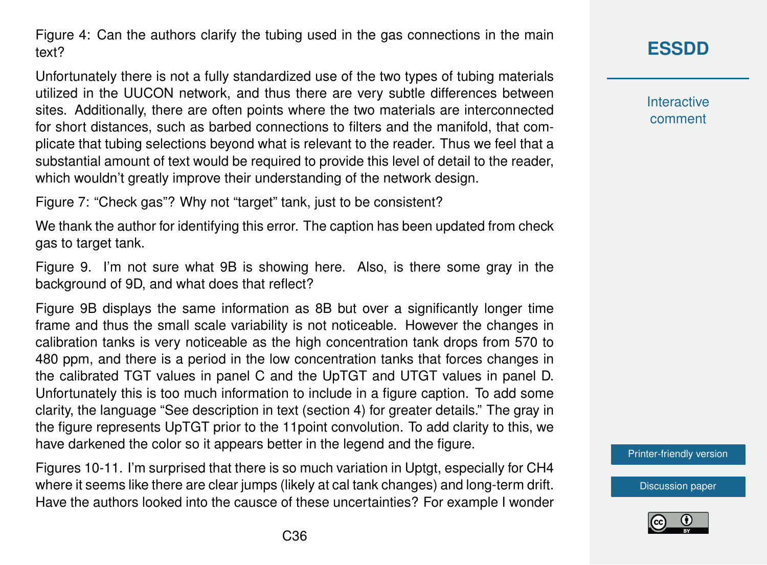Figure 4: Can the authors clarify the tubing used in the gas connections in the main text?

Unfortunately there is not a fully standardized use of the two types of tubing materials utilized in the UUCON network, and thus there are very subtle differences between sites. Additionally, there are often points where the two materials are interconnected for short distances, such as barbed connections to filters and the manifold, that complicate that tubing selections beyond what is relevant to the reader. Thus we feel that a substantial amount of text would be required to provide this level of detail to the reader, which wouldn't greatly improve their understanding of the network design.

Figure 7: "Check gas"? Why not "target" tank, just to be consistent?

We thank the author for identifying this error. The caption has been updated from check gas to target tank.

Figure 9. I'm not sure what 9B is showing here. Also, is there some gray in the background of 9D, and what does that reflect?

Figure 9B displays the same information as 8B but over a significantly longer time frame and thus the small scale variability is not noticeable. However the changes in calibration tanks is very noticeable as the high concentration tank drops from 570 to 480 ppm, and there is a period in the low concentration tanks that forces changes in the calibrated TGT values in panel C and the UpTGT and UTGT values in panel D. Unfortunately this is too much information to include in a figure caption. To add some clarity, the language "See description in text (section 4) for greater details." The gray in the figure represents UpTGT prior to the 11point convolution. To add clarity to this, we have darkened the color so it appears better in the legend and the figure.

Figures 10-11. I'm surprised that there is so much variation in Uptgt, especially for CH4 where it seems like there are clear jumps (likely at cal tank changes) and long-term drift. Have the authors looked into the causce of these uncertainties? For example I wonder

# **[ESSDD](https://www.earth-syst-sci-data-discuss.net/)**

**Interactive** comment

[Printer-friendly version](https://www.earth-syst-sci-data-discuss.net/essd-2018-148/essd-2018-148-AC1-print.pdf)

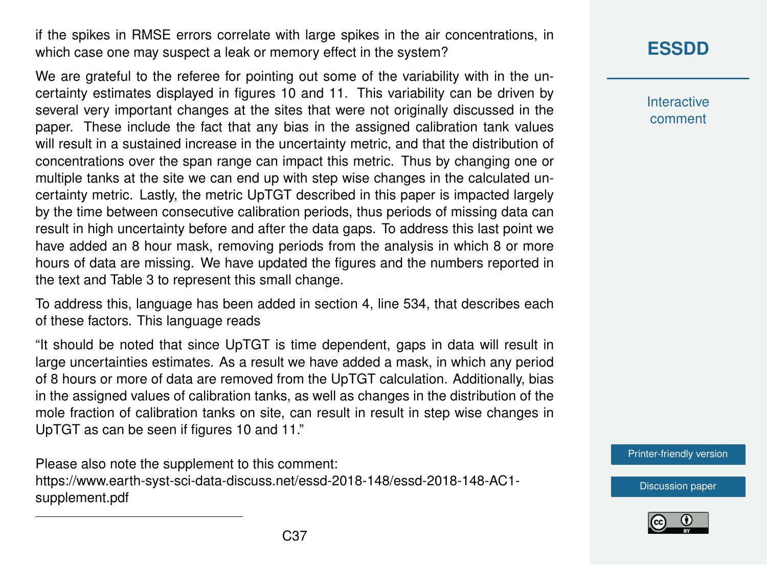if the spikes in RMSE errors correlate with large spikes in the air concentrations, in which case one may suspect a leak or memory effect in the system?

We are grateful to the referee for pointing out some of the variability with in the uncertainty estimates displayed in figures 10 and 11. This variability can be driven by several very important changes at the sites that were not originally discussed in the paper. These include the fact that any bias in the assigned calibration tank values will result in a sustained increase in the uncertainty metric, and that the distribution of concentrations over the span range can impact this metric. Thus by changing one or multiple tanks at the site we can end up with step wise changes in the calculated uncertainty metric. Lastly, the metric UpTGT described in this paper is impacted largely by the time between consecutive calibration periods, thus periods of missing data can result in high uncertainty before and after the data gaps. To address this last point we have added an 8 hour mask, removing periods from the analysis in which 8 or more hours of data are missing. We have updated the figures and the numbers reported in the text and Table 3 to represent this small change.

To address this, language has been added in section 4, line 534, that describes each of these factors. This language reads

"It should be noted that since UpTGT is time dependent, gaps in data will result in large uncertainties estimates. As a result we have added a mask, in which any period of 8 hours or more of data are removed from the UpTGT calculation. Additionally, bias in the assigned values of calibration tanks, as well as changes in the distribution of the mole fraction of calibration tanks on site, can result in result in step wise changes in UpTGT as can be seen if figures 10 and 11."

Please also note the supplement to this comment: [https://www.earth-syst-sci-data-discuss.net/essd-2018-148/essd-2018-148-AC1](https://www.earth-syst-sci-data-discuss.net/essd-2018-148/essd-2018-148-AC1-supplement.pdf) [supplement.pdf](https://www.earth-syst-sci-data-discuss.net/essd-2018-148/essd-2018-148-AC1-supplement.pdf)

## **[ESSDD](https://www.earth-syst-sci-data-discuss.net/)**

**Interactive** comment

[Printer-friendly version](https://www.earth-syst-sci-data-discuss.net/essd-2018-148/essd-2018-148-AC1-print.pdf)